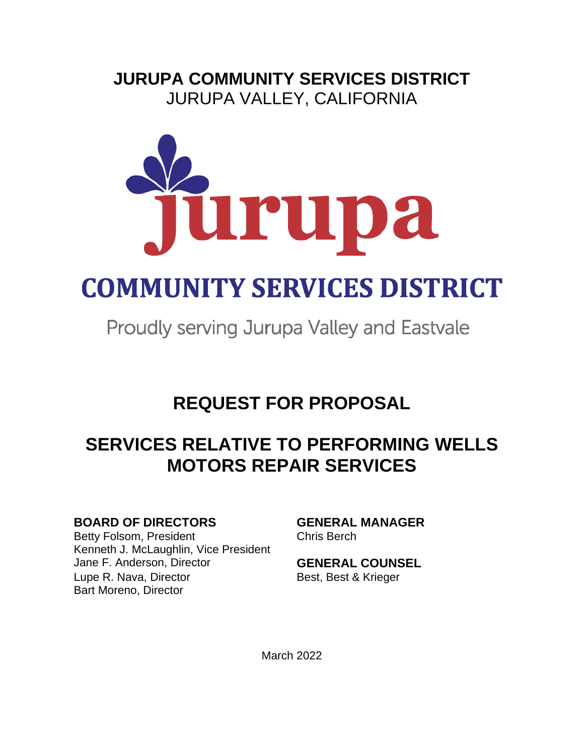### **JURUPA COMMUNITY SERVICES DISTRICT** JURUPA VALLEY, CALIFORNIA



# **COMMUNITY SERVICES DISTRICT**

## Proudly serving Jurupa Valley and Eastvale

## **REQUEST FOR PROPOSAL**

### **SERVICES RELATIVE TO PERFORMING WELLS MOTORS REPAIR SERVICES**

### **BOARD OF DIRECTORS GENERAL MANAGER**

Betty Folsom, President Chris Berch Kenneth J. McLaughlin, Vice President Jane F. Anderson, Director **GENERAL COUNSEL** Lupe R. Nava, Director Best, Best & Krieger Bart Moreno, Director

March 2022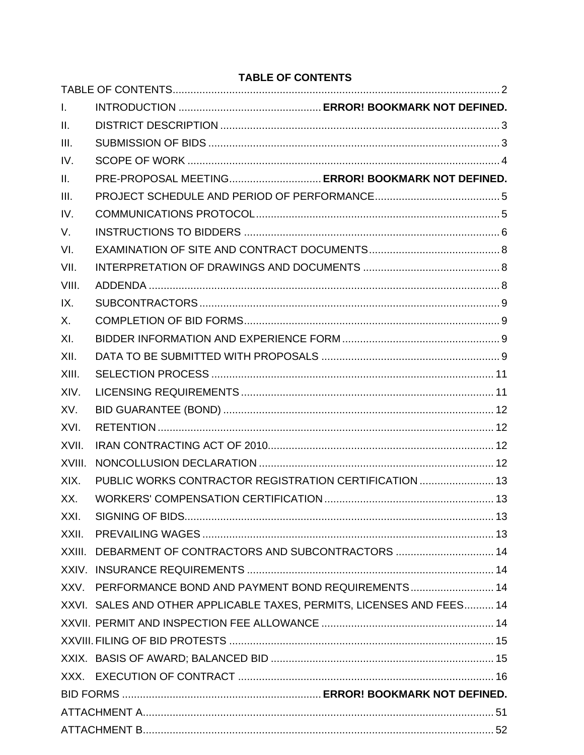<span id="page-1-0"></span>

| Ι.     |                                                                       |  |
|--------|-----------------------------------------------------------------------|--|
| II.    |                                                                       |  |
| III.   |                                                                       |  |
| IV.    |                                                                       |  |
| II.    | PRE-PROPOSAL MEETING ERROR! BOOKMARK NOT DEFINED.                     |  |
| III.   |                                                                       |  |
| IV.    |                                                                       |  |
| V.     |                                                                       |  |
| VI.    |                                                                       |  |
| VII.   |                                                                       |  |
| VIII.  |                                                                       |  |
| IX.    |                                                                       |  |
| Χ.     |                                                                       |  |
| XI.    |                                                                       |  |
| XII.   |                                                                       |  |
| XIII.  |                                                                       |  |
| XIV.   |                                                                       |  |
| XV.    |                                                                       |  |
| XVI.   |                                                                       |  |
| XVII.  |                                                                       |  |
| XVIII. |                                                                       |  |
| XIX.   | PUBLIC WORKS CONTRACTOR REGISTRATION CERTIFICATION  13                |  |
| XX.    |                                                                       |  |
| XXI.   |                                                                       |  |
| XXII.  |                                                                       |  |
|        | XXIII. DEBARMENT OF CONTRACTORS AND SUBCONTRACTORS  14                |  |
|        |                                                                       |  |
|        | XXV. PERFORMANCE BOND AND PAYMENT BOND REQUIREMENTS 14                |  |
|        | XXVI. SALES AND OTHER APPLICABLE TAXES, PERMITS, LICENSES AND FEES 14 |  |
|        |                                                                       |  |
|        |                                                                       |  |
|        |                                                                       |  |
|        |                                                                       |  |
|        |                                                                       |  |
|        |                                                                       |  |
|        |                                                                       |  |

#### **TABLE OF CONTENTS**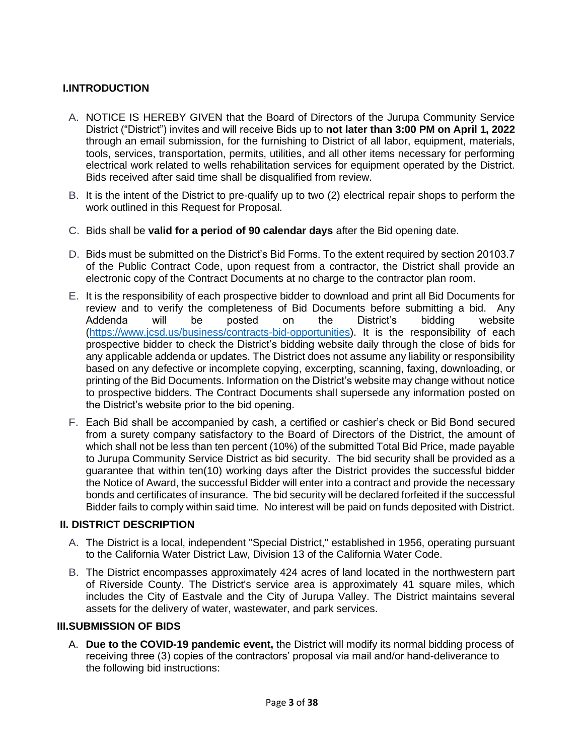#### **I.INTRODUCTION**

- A. NOTICE IS HEREBY GIVEN that the Board of Directors of the Jurupa Community Service District ("District") invites and will receive Bids up to **not later than 3:00 PM on April 1, 2022** through an email submission, for the furnishing to District of all labor, equipment, materials, tools, services, transportation, permits, utilities, and all other items necessary for performing electrical work related to wells rehabilitation services for equipment operated by the District. Bids received after said time shall be disqualified from review.
- B. It is the intent of the District to pre-qualify up to two (2) electrical repair shops to perform the work outlined in this Request for Proposal.
- C. Bids shall be **valid for a period of 90 calendar days** after the Bid opening date.
- D. Bids must be submitted on the District's Bid Forms. To the extent required by section 20103.7 of the Public Contract Code, upon request from a contractor, the District shall provide an electronic copy of the Contract Documents at no charge to the contractor plan room.
- E. It is the responsibility of each prospective bidder to download and print all Bid Documents for review and to verify the completeness of Bid Documents before submitting a bid. Any Addenda will be posted on the District's bidding website [\(https://www.jcsd.us/business/contracts-bid-opportunities\)](https://www.jcsd.us/business/contracts-bid-opportunities). It is the responsibility of each prospective bidder to check the District's bidding website daily through the close of bids for any applicable addenda or updates. The District does not assume any liability or responsibility based on any defective or incomplete copying, excerpting, scanning, faxing, downloading, or printing of the Bid Documents. Information on the District's website may change without notice to prospective bidders. The Contract Documents shall supersede any information posted on the District's website prior to the bid opening.
- F. Each Bid shall be accompanied by cash, a certified or cashier's check or Bid Bond secured from a surety company satisfactory to the Board of Directors of the District, the amount of which shall not be less than ten percent (10%) of the submitted Total Bid Price, made payable to Jurupa Community Service District as bid security. The bid security shall be provided as a guarantee that within ten(10) working days after the District provides the successful bidder the Notice of Award, the successful Bidder will enter into a contract and provide the necessary bonds and certificates of insurance. The bid security will be declared forfeited if the successful Bidder fails to comply within said time. No interest will be paid on funds deposited with District.

#### <span id="page-2-0"></span>**II. DISTRICT DESCRIPTION**

- A. The District is a local, independent "Special District," established in 1956, operating pursuant to the California Water District Law, Division 13 of the California Water Code.
- B. The District encompasses approximately 424 acres of land located in the northwestern part of Riverside County. The District's service area is approximately 41 square miles, which includes the City of Eastvale and the City of Jurupa Valley. The District maintains several assets for the delivery of water, wastewater, and park services.

#### <span id="page-2-1"></span>**III.SUBMISSION OF BIDS**

A. **Due to the COVID-19 pandemic event,** the District will modify its normal bidding process of receiving three (3) copies of the contractors' proposal via mail and/or hand-deliverance to the following bid instructions: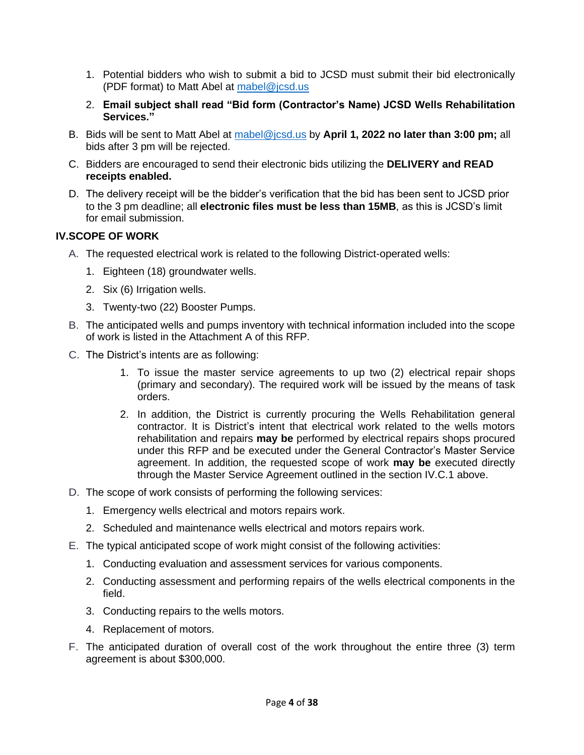- 1. Potential bidders who wish to submit a bid to JCSD must submit their bid electronically (PDF format) to Matt Abel at [mabel@jcsd.us](mailto:mabel@jcsd.us)
- 2. **Email subject shall read "Bid form (Contractor's Name) JCSD Wells Rehabilitation Services."**
- B. Bids will be sent to Matt Abel at [mabel@jcsd.us](mailto:mabel@jcsd.us) by **April 1, 2022 no later than 3:00 pm;** all bids after 3 pm will be rejected.
- C. Bidders are encouraged to send their electronic bids utilizing the **DELIVERY and READ receipts enabled.**
- D. The delivery receipt will be the bidder's verification that the bid has been sent to JCSD prior to the 3 pm deadline; all **electronic files must be less than 15MB**, as this is JCSD's limit for email submission.

#### <span id="page-3-0"></span>**IV.SCOPE OF WORK**

- A. The requested electrical work is related to the following District-operated wells:
	- 1. Eighteen (18) groundwater wells.
	- 2. Six (6) Irrigation wells.
	- 3. Twenty-two (22) Booster Pumps.
- B. The anticipated wells and pumps inventory with technical information included into the scope of work is listed in the Attachment A of this RFP.
- C. The District's intents are as following:
	- 1. To issue the master service agreements to up two (2) electrical repair shops (primary and secondary). The required work will be issued by the means of task orders.
	- 2. In addition, the District is currently procuring the Wells Rehabilitation general contractor. It is District's intent that electrical work related to the wells motors rehabilitation and repairs **may be** performed by electrical repairs shops procured under this RFP and be executed under the General Contractor's Master Service agreement. In addition, the requested scope of work **may be** executed directly through the Master Service Agreement outlined in the section IV.C.1 above.
- D. The scope of work consists of performing the following services:
	- 1. Emergency wells electrical and motors repairs work.
	- 2. Scheduled and maintenance wells electrical and motors repairs work.
- E. The typical anticipated scope of work might consist of the following activities:
	- 1. Conducting evaluation and assessment services for various components.
	- 2. Conducting assessment and performing repairs of the wells electrical components in the field.
	- 3. Conducting repairs to the wells motors.
	- 4. Replacement of motors.
- F. The anticipated duration of overall cost of the work throughout the entire three (3) term agreement is about \$300,000.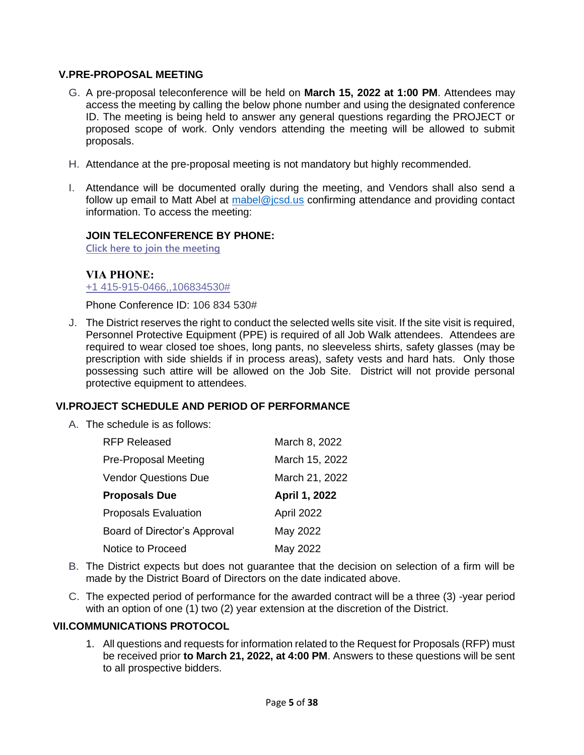#### **V.PRE-PROPOSAL MEETING**

- G. A pre-proposal teleconference will be held on **March 15, 2022 at 1:00 PM**. Attendees may access the meeting by calling the below phone number and using the designated conference ID. The meeting is being held to answer any general questions regarding the PROJECT or proposed scope of work. Only vendors attending the meeting will be allowed to submit proposals.
- H. Attendance at the pre-proposal meeting is not mandatory but highly recommended.
- I. Attendance will be documented orally during the meeting, and Vendors shall also send a follow up email to Matt Abel at [mabel@jcsd.us](mailto:mabel@jcsd.us) confirming attendance and providing contact information. To access the meeting:

#### **JOIN TELECONFERENCE BY PHONE:**

**[Click here to join the meeting](https://teams.microsoft.com/l/meetup-join/19%3ameeting_MWMwZWRhMDQtYTgwZi00NDI3LWE1NTUtZTM1ZTA5ZjcwMmM0%40thread.v2/0?context=%7b%22Tid%22%3a%223a70bd6b-cf00-43c1-9e00-3aeadc017295%22%2c%22Oid%22%3a%22d290e0a6-0ce9-4a30-af13-ac46253b9261%22%7d)**

#### **VIA PHONE:**  [+1 415-915-0466,,106834530#](tel:+14159150466,,106834530# )

Phone Conference ID: 106 834 530#

J. The District reserves the right to conduct the selected wells site visit. If the site visit is required, Personnel Protective Equipment (PPE) is required of all Job Walk attendees. Attendees are required to wear closed toe shoes, long pants, no sleeveless shirts, safety glasses (may be prescription with side shields if in process areas), safety vests and hard hats. Only those possessing such attire will be allowed on the Job Site. District will not provide personal protective equipment to attendees.

#### <span id="page-4-0"></span>**VI.PROJECT SCHEDULE AND PERIOD OF PERFORMANCE**

A. The schedule is as follows:

| <b>RFP Released</b>                 | March 8, 2022  |
|-------------------------------------|----------------|
| <b>Pre-Proposal Meeting</b>         | March 15, 2022 |
| <b>Vendor Questions Due</b>         | March 21, 2022 |
| <b>Proposals Due</b>                | April 1, 2022  |
| <b>Proposals Evaluation</b>         | April 2022     |
| <b>Board of Director's Approval</b> | May 2022       |
| Notice to Proceed                   | May 2022       |

- B. The District expects but does not guarantee that the decision on selection of a firm will be made by the District Board of Directors on the date indicated above.
- C. The expected period of performance for the awarded contract will be a three (3) -year period with an option of one (1) two (2) year extension at the discretion of the District.

#### <span id="page-4-1"></span>**VII.COMMUNICATIONS PROTOCOL**

1. All questions and requests for information related to the Request for Proposals (RFP) must be received prior **to March 21, 2022, at 4:00 PM**. Answers to these questions will be sent to all prospective bidders.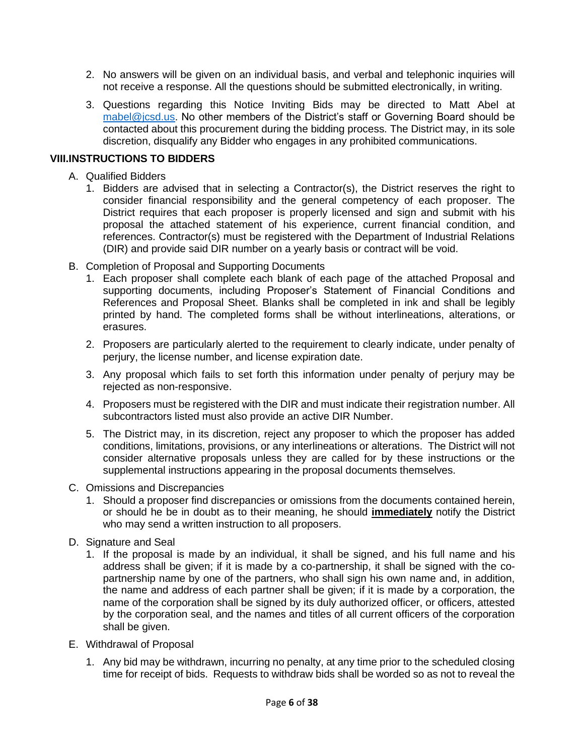- 2. No answers will be given on an individual basis, and verbal and telephonic inquiries will not receive a response. All the questions should be submitted electronically, in writing.
- 3. Questions regarding this Notice Inviting Bids may be directed to Matt Abel at [mabel@jcsd.us.](mailto:mabel@jcsd.us) No other members of the District's staff or Governing Board should be contacted about this procurement during the bidding process. The District may, in its sole discretion, disqualify any Bidder who engages in any prohibited communications.

#### <span id="page-5-0"></span>**VIII.INSTRUCTIONS TO BIDDERS**

- A. Qualified Bidders
	- 1. Bidders are advised that in selecting a Contractor(s), the District reserves the right to consider financial responsibility and the general competency of each proposer. The District requires that each proposer is properly licensed and sign and submit with his proposal the attached statement of his experience, current financial condition, and references. Contractor(s) must be registered with the Department of Industrial Relations (DIR) and provide said DIR number on a yearly basis or contract will be void.
- B. Completion of Proposal and Supporting Documents
	- 1. Each proposer shall complete each blank of each page of the attached Proposal and supporting documents, including Proposer's Statement of Financial Conditions and References and Proposal Sheet. Blanks shall be completed in ink and shall be legibly printed by hand. The completed forms shall be without interlineations, alterations, or erasures.
	- 2. Proposers are particularly alerted to the requirement to clearly indicate, under penalty of perjury, the license number, and license expiration date.
	- 3. Any proposal which fails to set forth this information under penalty of perjury may be rejected as non-responsive.
	- 4. Proposers must be registered with the DIR and must indicate their registration number. All subcontractors listed must also provide an active DIR Number.
	- 5. The District may, in its discretion, reject any proposer to which the proposer has added conditions, limitations, provisions, or any interlineations or alterations. The District will not consider alternative proposals unless they are called for by these instructions or the supplemental instructions appearing in the proposal documents themselves.
- C. Omissions and Discrepancies
	- 1. Should a proposer find discrepancies or omissions from the documents contained herein, or should he be in doubt as to their meaning, he should **immediately** notify the District who may send a written instruction to all proposers.
- D. Signature and Seal
	- 1. If the proposal is made by an individual, it shall be signed, and his full name and his address shall be given; if it is made by a co-partnership, it shall be signed with the copartnership name by one of the partners, who shall sign his own name and, in addition, the name and address of each partner shall be given; if it is made by a corporation, the name of the corporation shall be signed by its duly authorized officer, or officers, attested by the corporation seal, and the names and titles of all current officers of the corporation shall be given.
- E. Withdrawal of Proposal
	- 1. Any bid may be withdrawn, incurring no penalty, at any time prior to the scheduled closing time for receipt of bids. Requests to withdraw bids shall be worded so as not to reveal the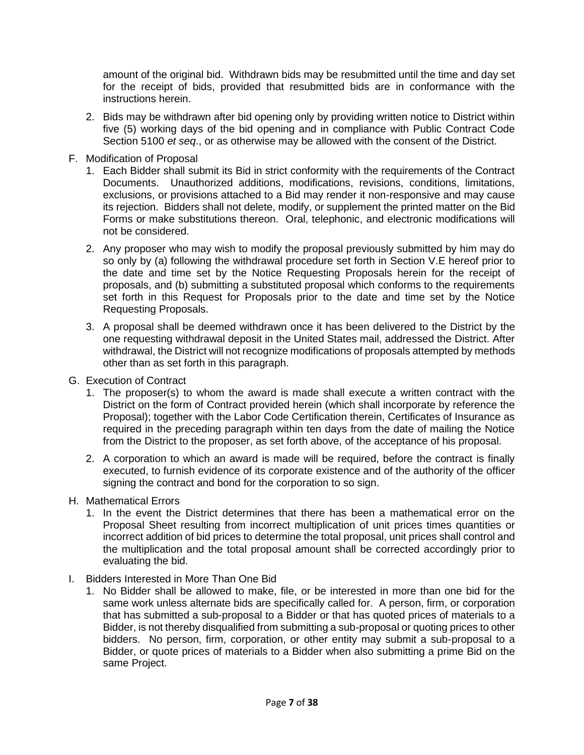amount of the original bid. Withdrawn bids may be resubmitted until the time and day set for the receipt of bids, provided that resubmitted bids are in conformance with the instructions herein.

- 2. Bids may be withdrawn after bid opening only by providing written notice to District within five (5) working days of the bid opening and in compliance with Public Contract Code Section 5100 *et seq*., or as otherwise may be allowed with the consent of the District.
- F. Modification of Proposal
	- 1. Each Bidder shall submit its Bid in strict conformity with the requirements of the Contract Documents. Unauthorized additions, modifications, revisions, conditions, limitations, exclusions, or provisions attached to a Bid may render it non-responsive and may cause its rejection. Bidders shall not delete, modify, or supplement the printed matter on the Bid Forms or make substitutions thereon. Oral, telephonic, and electronic modifications will not be considered.
	- 2. Any proposer who may wish to modify the proposal previously submitted by him may do so only by (a) following the withdrawal procedure set forth in Section V.E hereof prior to the date and time set by the Notice Requesting Proposals herein for the receipt of proposals, and (b) submitting a substituted proposal which conforms to the requirements set forth in this Request for Proposals prior to the date and time set by the Notice Requesting Proposals.
	- 3. A proposal shall be deemed withdrawn once it has been delivered to the District by the one requesting withdrawal deposit in the United States mail, addressed the District. After withdrawal, the District will not recognize modifications of proposals attempted by methods other than as set forth in this paragraph.
- G. Execution of Contract
	- 1. The proposer(s) to whom the award is made shall execute a written contract with the District on the form of Contract provided herein (which shall incorporate by reference the Proposal); together with the Labor Code Certification therein, Certificates of Insurance as required in the preceding paragraph within ten days from the date of mailing the Notice from the District to the proposer, as set forth above, of the acceptance of his proposal.
	- 2. A corporation to which an award is made will be required, before the contract is finally executed, to furnish evidence of its corporate existence and of the authority of the officer signing the contract and bond for the corporation to so sign.
- H. Mathematical Errors
	- 1. In the event the District determines that there has been a mathematical error on the Proposal Sheet resulting from incorrect multiplication of unit prices times quantities or incorrect addition of bid prices to determine the total proposal, unit prices shall control and the multiplication and the total proposal amount shall be corrected accordingly prior to evaluating the bid.
- I. Bidders Interested in More Than One Bid
	- 1. No Bidder shall be allowed to make, file, or be interested in more than one bid for the same work unless alternate bids are specifically called for. A person, firm, or corporation that has submitted a sub-proposal to a Bidder or that has quoted prices of materials to a Bidder, is not thereby disqualified from submitting a sub-proposal or quoting prices to other bidders. No person, firm, corporation, or other entity may submit a sub-proposal to a Bidder, or quote prices of materials to a Bidder when also submitting a prime Bid on the same Project.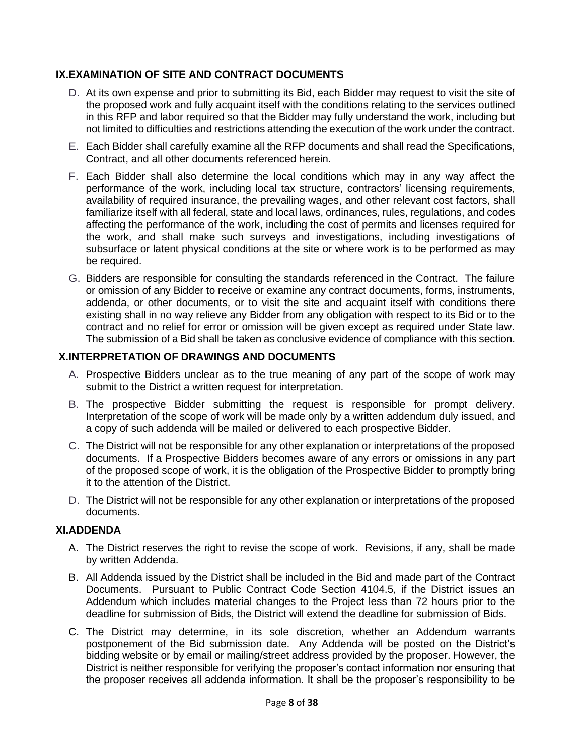#### <span id="page-7-0"></span>**IX.EXAMINATION OF SITE AND CONTRACT DOCUMENTS**

- D. At its own expense and prior to submitting its Bid, each Bidder may request to visit the site of the proposed work and fully acquaint itself with the conditions relating to the services outlined in this RFP and labor required so that the Bidder may fully understand the work, including but not limited to difficulties and restrictions attending the execution of the work under the contract.
- E. Each Bidder shall carefully examine all the RFP documents and shall read the Specifications, Contract, and all other documents referenced herein.
- F. Each Bidder shall also determine the local conditions which may in any way affect the performance of the work, including local tax structure, contractors' licensing requirements, availability of required insurance, the prevailing wages, and other relevant cost factors, shall familiarize itself with all federal, state and local laws, ordinances, rules, regulations, and codes affecting the performance of the work, including the cost of permits and licenses required for the work, and shall make such surveys and investigations, including investigations of subsurface or latent physical conditions at the site or where work is to be performed as may be required.
- G. Bidders are responsible for consulting the standards referenced in the Contract. The failure or omission of any Bidder to receive or examine any contract documents, forms, instruments, addenda, or other documents, or to visit the site and acquaint itself with conditions there existing shall in no way relieve any Bidder from any obligation with respect to its Bid or to the contract and no relief for error or omission will be given except as required under State law. The submission of a Bid shall be taken as conclusive evidence of compliance with this section.

#### <span id="page-7-1"></span>**X.INTERPRETATION OF DRAWINGS AND DOCUMENTS**

- A. Prospective Bidders unclear as to the true meaning of any part of the scope of work may submit to the District a written request for interpretation.
- B. The prospective Bidder submitting the request is responsible for prompt delivery. Interpretation of the scope of work will be made only by a written addendum duly issued, and a copy of such addenda will be mailed or delivered to each prospective Bidder.
- C. The District will not be responsible for any other explanation or interpretations of the proposed documents. If a Prospective Bidders becomes aware of any errors or omissions in any part of the proposed scope of work, it is the obligation of the Prospective Bidder to promptly bring it to the attention of the District.
- D. The District will not be responsible for any other explanation or interpretations of the proposed documents.

#### <span id="page-7-2"></span>**XI.ADDENDA**

- A. The District reserves the right to revise the scope of work. Revisions, if any, shall be made by written Addenda.
- B. All Addenda issued by the District shall be included in the Bid and made part of the Contract Documents. Pursuant to Public Contract Code Section 4104.5, if the District issues an Addendum which includes material changes to the Project less than 72 hours prior to the deadline for submission of Bids, the District will extend the deadline for submission of Bids.
- C. The District may determine, in its sole discretion, whether an Addendum warrants postponement of the Bid submission date. Any Addenda will be posted on the District's bidding website or by email or mailing/street address provided by the proposer. However, the District is neither responsible for verifying the proposer's contact information nor ensuring that the proposer receives all addenda information. It shall be the proposer's responsibility to be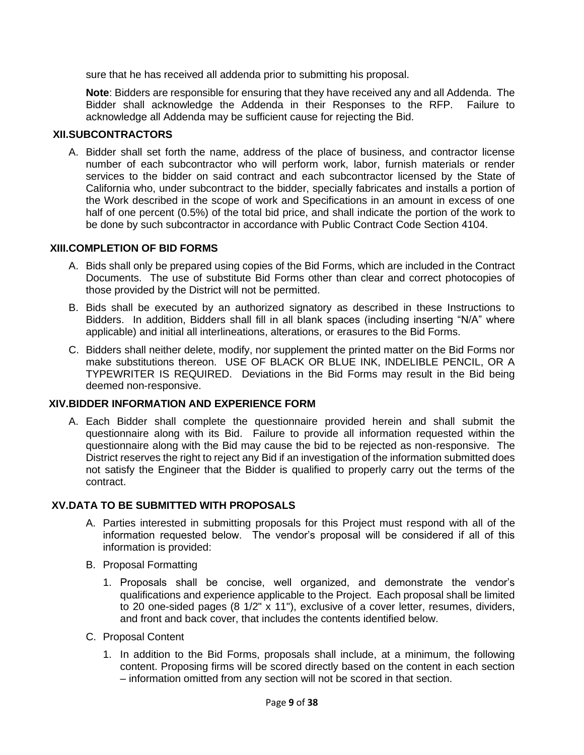sure that he has received all addenda prior to submitting his proposal.

**Note**: Bidders are responsible for ensuring that they have received any and all Addenda. The Bidder shall acknowledge the Addenda in their Responses to the RFP. Failure to acknowledge all Addenda may be sufficient cause for rejecting the Bid.

#### <span id="page-8-0"></span>**XII.SUBCONTRACTORS**

A. Bidder shall set forth the name, address of the place of business, and contractor license number of each subcontractor who will perform work, labor, furnish materials or render services to the bidder on said contract and each subcontractor licensed by the State of California who, under subcontract to the bidder, specially fabricates and installs a portion of the Work described in the scope of work and Specifications in an amount in excess of one half of one percent (0.5%) of the total bid price, and shall indicate the portion of the work to be done by such subcontractor in accordance with Public Contract Code Section 4104.

#### <span id="page-8-1"></span>**XIII.COMPLETION OF BID FORMS**

- A. Bids shall only be prepared using copies of the Bid Forms, which are included in the Contract Documents. The use of substitute Bid Forms other than clear and correct photocopies of those provided by the District will not be permitted.
- B. Bids shall be executed by an authorized signatory as described in these Instructions to Bidders. In addition, Bidders shall fill in all blank spaces (including inserting "N/A" where applicable) and initial all interlineations, alterations, or erasures to the Bid Forms.
- C. Bidders shall neither delete, modify, nor supplement the printed matter on the Bid Forms nor make substitutions thereon. USE OF BLACK OR BLUE INK, INDELIBLE PENCIL, OR A TYPEWRITER IS REQUIRED. Deviations in the Bid Forms may result in the Bid being deemed non-responsive.

#### <span id="page-8-2"></span>**XIV.BIDDER INFORMATION AND EXPERIENCE FORM**

A. Each Bidder shall complete the questionnaire provided herein and shall submit the questionnaire along with its Bid. Failure to provide all information requested within the questionnaire along with the Bid may cause the bid to be rejected as non-responsive. The District reserves the right to reject any Bid if an investigation of the information submitted does not satisfy the Engineer that the Bidder is qualified to properly carry out the terms of the contract.

#### <span id="page-8-3"></span>**XV.DATA TO BE SUBMITTED WITH PROPOSALS**

- A. Parties interested in submitting proposals for this Project must respond with all of the information requested below. The vendor's proposal will be considered if all of this information is provided:
- B. Proposal Formatting
	- 1. Proposals shall be concise, well organized, and demonstrate the vendor's qualifications and experience applicable to the Project. Each proposal shall be limited to 20 one-sided pages (8 1/2" x 11"), exclusive of a cover letter, resumes, dividers, and front and back cover, that includes the contents identified below.
- C. Proposal Content
	- 1. In addition to the Bid Forms, proposals shall include, at a minimum, the following content. Proposing firms will be scored directly based on the content in each section – information omitted from any section will not be scored in that section.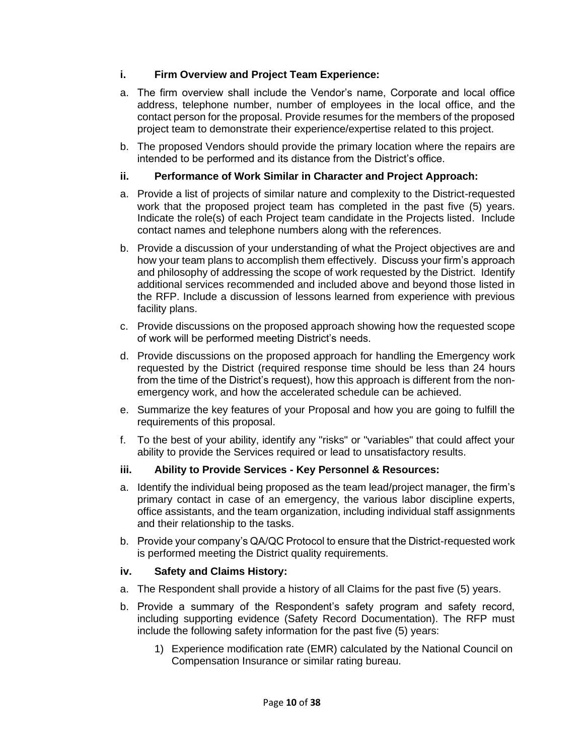#### **i. Firm Overview and Project Team Experience:**

- a. The firm overview shall include the Vendor's name, Corporate and local office address, telephone number, number of employees in the local office, and the contact person for the proposal. Provide resumes for the members of the proposed project team to demonstrate their experience/expertise related to this project.
- b. The proposed Vendors should provide the primary location where the repairs are intended to be performed and its distance from the District's office.

#### **ii. Performance of Work Similar in Character and Project Approach:**

- a. Provide a list of projects of similar nature and complexity to the District-requested work that the proposed project team has completed in the past five (5) years. Indicate the role(s) of each Project team candidate in the Projects listed. Include contact names and telephone numbers along with the references.
- b. Provide a discussion of your understanding of what the Project objectives are and how your team plans to accomplish them effectively. Discuss your firm's approach and philosophy of addressing the scope of work requested by the District. Identify additional services recommended and included above and beyond those listed in the RFP. Include a discussion of lessons learned from experience with previous facility plans.
- c. Provide discussions on the proposed approach showing how the requested scope of work will be performed meeting District's needs.
- d. Provide discussions on the proposed approach for handling the Emergency work requested by the District (required response time should be less than 24 hours from the time of the District's request), how this approach is different from the nonemergency work, and how the accelerated schedule can be achieved.
- e. Summarize the key features of your Proposal and how you are going to fulfill the requirements of this proposal.
- f. To the best of your ability, identify any "risks" or "variables" that could affect your ability to provide the Services required or lead to unsatisfactory results.

#### **iii. Ability to Provide Services - Key Personnel & Resources:**

- a. Identify the individual being proposed as the team lead/project manager, the firm's primary contact in case of an emergency, the various labor discipline experts, office assistants, and the team organization, including individual staff assignments and their relationship to the tasks.
- b. Provide your company's QA/QC Protocol to ensure that the District-requested work is performed meeting the District quality requirements.

#### **iv. Safety and Claims History:**

- a. The Respondent shall provide a history of all Claims for the past five (5) years.
- b. Provide a summary of the Respondent's safety program and safety record, including supporting evidence (Safety Record Documentation). The RFP must include the following safety information for the past five (5) years:
	- 1) Experience modification rate (EMR) calculated by the National Council on Compensation Insurance or similar rating bureau.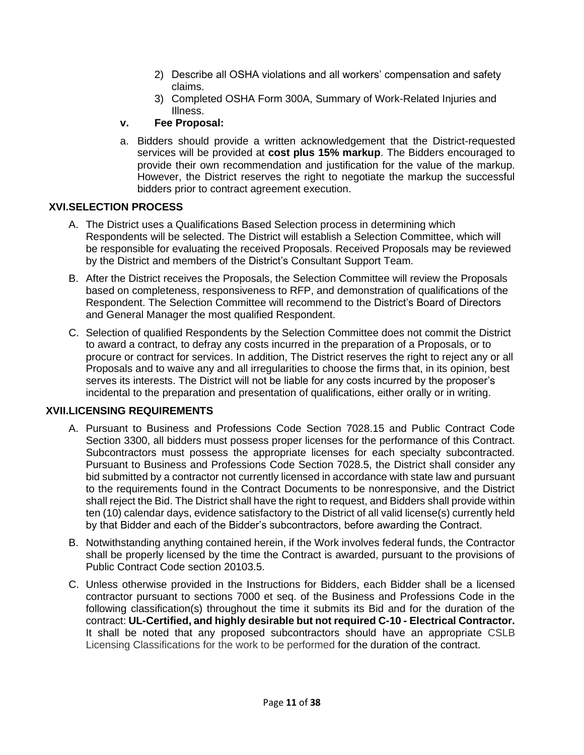- 2) Describe all OSHA violations and all workers' compensation and safety claims.
- 3) Completed OSHA Form 300A, Summary of Work-Related Injuries and Illness.

#### **v. Fee Proposal:**

<span id="page-10-0"></span>a. Bidders should provide a written acknowledgement that the District-requested services will be provided at **cost plus 15% markup**. The Bidders encouraged to provide their own recommendation and justification for the value of the markup. However, the District reserves the right to negotiate the markup the successful bidders prior to contract agreement execution.

#### **XVI.SELECTION PROCESS**

- A. The District uses a Qualifications Based Selection process in determining which Respondents will be selected. The District will establish a Selection Committee, which will be responsible for evaluating the received Proposals. Received Proposals may be reviewed by the District and members of the District's Consultant Support Team.
- B. After the District receives the Proposals, the Selection Committee will review the Proposals based on completeness, responsiveness to RFP, and demonstration of qualifications of the Respondent. The Selection Committee will recommend to the District's Board of Directors and General Manager the most qualified Respondent.
- C. Selection of qualified Respondents by the Selection Committee does not commit the District to award a contract, to defray any costs incurred in the preparation of a Proposals, or to procure or contract for services. In addition, The District reserves the right to reject any or all Proposals and to waive any and all irregularities to choose the firms that, in its opinion, best serves its interests. The District will not be liable for any costs incurred by the proposer's incidental to the preparation and presentation of qualifications, either orally or in writing.

### **XVII.LICENSING REQUIREMENTS**

- <span id="page-10-1"></span>A. Pursuant to Business and Professions Code Section 7028.15 and Public Contract Code Section 3300, all bidders must possess proper licenses for the performance of this Contract. Subcontractors must possess the appropriate licenses for each specialty subcontracted. Pursuant to Business and Professions Code Section 7028.5, the District shall consider any bid submitted by a contractor not currently licensed in accordance with state law and pursuant to the requirements found in the Contract Documents to be nonresponsive, and the District shall reject the Bid. The District shall have the right to request, and Bidders shall provide within ten (10) calendar days, evidence satisfactory to the District of all valid license(s) currently held by that Bidder and each of the Bidder's subcontractors, before awarding the Contract.
- B. Notwithstanding anything contained herein, if the Work involves federal funds, the Contractor shall be properly licensed by the time the Contract is awarded, pursuant to the provisions of Public Contract Code section 20103.5.
- C. Unless otherwise provided in the Instructions for Bidders, each Bidder shall be a licensed contractor pursuant to sections 7000 et seq. of the Business and Professions Code in the following classification(s) throughout the time it submits its Bid and for the duration of the contract: **UL-Certified, and highly desirable but not required C-10 - Electrical Contractor.** It shall be noted that any proposed subcontractors should have an appropriate CSLB Licensing Classifications for the work to be performed for the duration of the contract.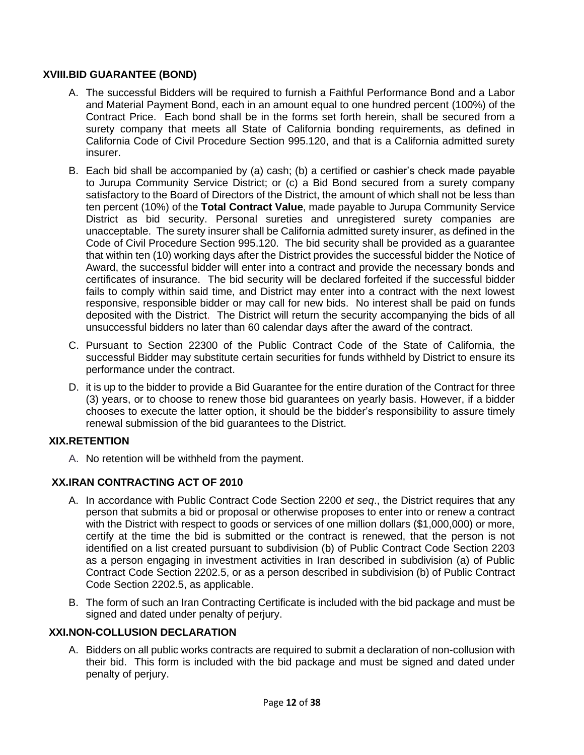#### **XVIII.BID GUARANTEE (BOND)**

- <span id="page-11-0"></span>A. The successful Bidders will be required to furnish a Faithful Performance Bond and a Labor and Material Payment Bond, each in an amount equal to one hundred percent (100%) of the Contract Price. Each bond shall be in the forms set forth herein, shall be secured from a surety company that meets all State of California bonding requirements, as defined in California Code of Civil Procedure Section 995.120, and that is a California admitted surety insurer.
- B. Each bid shall be accompanied by (a) cash; (b) a certified or cashier's check made payable to Jurupa Community Service District; or (c) a Bid Bond secured from a surety company satisfactory to the Board of Directors of the District, the amount of which shall not be less than ten percent (10%) of the **Total Contract Value**, made payable to Jurupa Community Service District as bid security. Personal sureties and unregistered surety companies are unacceptable. The surety insurer shall be California admitted surety insurer, as defined in the Code of Civil Procedure Section 995.120. The bid security shall be provided as a guarantee that within ten (10) working days after the District provides the successful bidder the Notice of Award, the successful bidder will enter into a contract and provide the necessary bonds and certificates of insurance. The bid security will be declared forfeited if the successful bidder fails to comply within said time, and District may enter into a contract with the next lowest responsive, responsible bidder or may call for new bids. No interest shall be paid on funds deposited with the District. The District will return the security accompanying the bids of all unsuccessful bidders no later than 60 calendar days after the award of the contract.
- C. Pursuant to Section 22300 of the Public Contract Code of the State of California, the successful Bidder may substitute certain securities for funds withheld by District to ensure its performance under the contract.
- D. it is up to the bidder to provide a Bid Guarantee for the entire duration of the Contract for three (3) years, or to choose to renew those bid guarantees on yearly basis. However, if a bidder chooses to execute the latter option, it should be the bidder's responsibility to assure timely renewal submission of the bid guarantees to the District.

#### <span id="page-11-1"></span>**XIX.RETENTION**

A. No retention will be withheld from the payment.

#### <span id="page-11-2"></span>**XX.IRAN CONTRACTING ACT OF 2010**

- A. In accordance with Public Contract Code Section 2200 *et seq*., the District requires that any person that submits a bid or proposal or otherwise proposes to enter into or renew a contract with the District with respect to goods or services of one million dollars (\$1,000,000) or more, certify at the time the bid is submitted or the contract is renewed, that the person is not identified on a list created pursuant to subdivision (b) of Public Contract Code Section 2203 as a person engaging in investment activities in Iran described in subdivision (a) of Public Contract Code Section 2202.5, or as a person described in subdivision (b) of Public Contract Code Section 2202.5, as applicable.
- B. The form of such an Iran Contracting Certificate is included with the bid package and must be signed and dated under penalty of perjury.

#### <span id="page-11-3"></span>**XXI.NON-COLLUSION DECLARATION**

A. Bidders on all public works contracts are required to submit a declaration of non-collusion with their bid. This form is included with the bid package and must be signed and dated under penalty of perjury.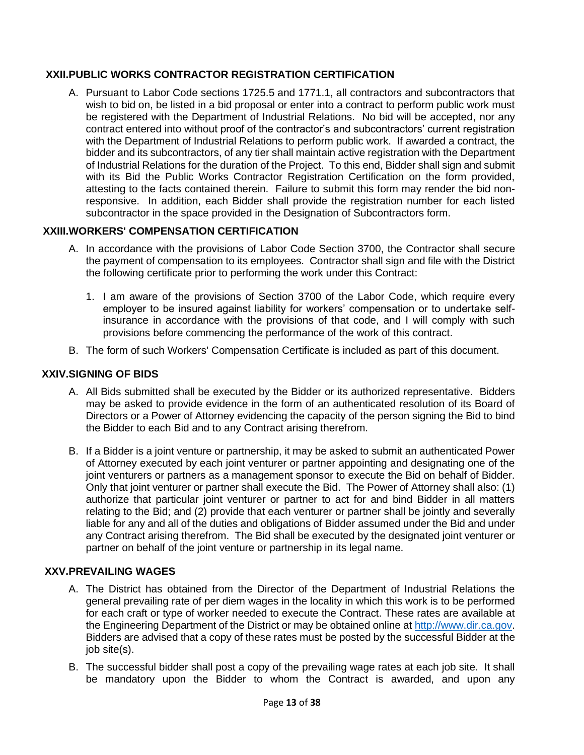#### **XXII.PUBLIC WORKS CONTRACTOR REGISTRATION CERTIFICATION**

<span id="page-12-0"></span>A. Pursuant to Labor Code sections 1725.5 and 1771.1, all contractors and subcontractors that wish to bid on, be listed in a bid proposal or enter into a contract to perform public work must be registered with the Department of Industrial Relations. No bid will be accepted, nor any contract entered into without proof of the contractor's and subcontractors' current registration with the Department of Industrial Relations to perform public work. If awarded a contract, the bidder and its subcontractors, of any tier shall maintain active registration with the Department of Industrial Relations for the duration of the Project. To this end, Bidder shall sign and submit with its Bid the Public Works Contractor Registration Certification on the form provided, attesting to the facts contained therein. Failure to submit this form may render the bid nonresponsive. In addition, each Bidder shall provide the registration number for each listed subcontractor in the space provided in the Designation of Subcontractors form.

#### **XXIII.WORKERS' COMPENSATION CERTIFICATION**

- <span id="page-12-1"></span>A. In accordance with the provisions of Labor Code Section 3700, the Contractor shall secure the payment of compensation to its employees. Contractor shall sign and file with the District the following certificate prior to performing the work under this Contract:
	- 1. I am aware of the provisions of Section 3700 of the Labor Code, which require every employer to be insured against liability for workers' compensation or to undertake selfinsurance in accordance with the provisions of that code, and I will comply with such provisions before commencing the performance of the work of this contract.
- B. The form of such Workers' Compensation Certificate is included as part of this document.

#### **XXIV.SIGNING OF BIDS**

- <span id="page-12-2"></span>A. All Bids submitted shall be executed by the Bidder or its authorized representative. Bidders may be asked to provide evidence in the form of an authenticated resolution of its Board of Directors or a Power of Attorney evidencing the capacity of the person signing the Bid to bind the Bidder to each Bid and to any Contract arising therefrom.
- B. If a Bidder is a joint venture or partnership, it may be asked to submit an authenticated Power of Attorney executed by each joint venturer or partner appointing and designating one of the joint venturers or partners as a management sponsor to execute the Bid on behalf of Bidder. Only that joint venturer or partner shall execute the Bid. The Power of Attorney shall also: (1) authorize that particular joint venturer or partner to act for and bind Bidder in all matters relating to the Bid; and (2) provide that each venturer or partner shall be jointly and severally liable for any and all of the duties and obligations of Bidder assumed under the Bid and under any Contract arising therefrom. The Bid shall be executed by the designated joint venturer or partner on behalf of the joint venture or partnership in its legal name.

#### **XXV.PREVAILING WAGES**

- <span id="page-12-3"></span>A. The District has obtained from the Director of the Department of Industrial Relations the general prevailing rate of per diem wages in the locality in which this work is to be performed for each craft or type of worker needed to execute the Contract. These rates are available at the Engineering Department of the District or may be obtained online at [http://www.dir.ca.gov.](http://www.dir.ca.gov/) Bidders are advised that a copy of these rates must be posted by the successful Bidder at the job site(s).
- B. The successful bidder shall post a copy of the prevailing wage rates at each job site. It shall be mandatory upon the Bidder to whom the Contract is awarded, and upon any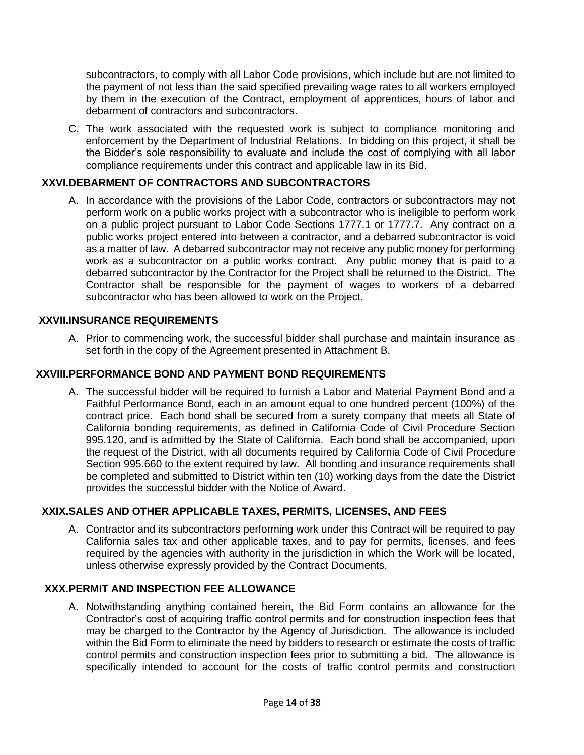subcontractors, to comply with all Labor Code provisions, which include but are not limited to the payment of not less than the said specified prevailing wage rates to all workers employed by them in the execution of the Contract, employment of apprentices, hours of labor and debarment of contractors and subcontractors.

C. The work associated with the requested work is subject to compliance monitoring and enforcement by the Department of Industrial Relations. In bidding on this project, it shall be the Bidder's sole responsibility to evaluate and include the cost of complying with all labor compliance requirements under this contract and applicable law in its Bid.

#### **XXVI.DEBARMENT OF CONTRACTORS AND SUBCONTRACTORS**

<span id="page-13-0"></span>A. In accordance with the provisions of the Labor Code, contractors or subcontractors may not perform work on a public works project with a subcontractor who is ineligible to perform work on a public project pursuant to Labor Code Sections 1777.1 or 1777.7. Any contract on a public works project entered into between a contractor, and a debarred subcontractor is void as a matter of law. A debarred subcontractor may not receive any public money for performing work as a subcontractor on a public works contract. Any public money that is paid to a debarred subcontractor by the Contractor for the Project shall be returned to the District. The Contractor shall be responsible for the payment of wages to workers of a debarred subcontractor who has been allowed to work on the Project.

#### **XXVII.INSURANCE REQUIREMENTS**

<span id="page-13-1"></span>A. Prior to commencing work, the successful bidder shall purchase and maintain insurance as set forth in the copy of the Agreement presented in Attachment B.

#### **XXVIII.PERFORMANCE BOND AND PAYMENT BOND REQUIREMENTS**

<span id="page-13-2"></span>A. The successful bidder will be required to furnish a Labor and Material Payment Bond and a Faithful Performance Bond, each in an amount equal to one hundred percent (100%) of the contract price. Each bond shall be secured from a surety company that meets all State of California bonding requirements, as defined in California Code of Civil Procedure Section 995.120, and is admitted by the State of California. Each bond shall be accompanied, upon the request of the District, with all documents required by California Code of Civil Procedure Section 995.660 to the extent required by law. All bonding and insurance requirements shall be completed and submitted to District within ten (10) working days from the date the District provides the successful bidder with the Notice of Award.

#### **XXIX.SALES AND OTHER APPLICABLE TAXES, PERMITS, LICENSES, AND FEES**

<span id="page-13-3"></span>A. Contractor and its subcontractors performing work under this Contract will be required to pay California sales tax and other applicable taxes, and to pay for permits, licenses, and fees required by the agencies with authority in the jurisdiction in which the Work will be located, unless otherwise expressly provided by the Contract Documents.

#### **XXX.PERMIT AND INSPECTION FEE ALLOWANCE**

<span id="page-13-4"></span>A. Notwithstanding anything contained herein, the Bid Form contains an allowance for the Contractor's cost of acquiring traffic control permits and for construction inspection fees that may be charged to the Contractor by the Agency of Jurisdiction. The allowance is included within the Bid Form to eliminate the need by bidders to research or estimate the costs of traffic control permits and construction inspection fees prior to submitting a bid. The allowance is specifically intended to account for the costs of traffic control permits and construction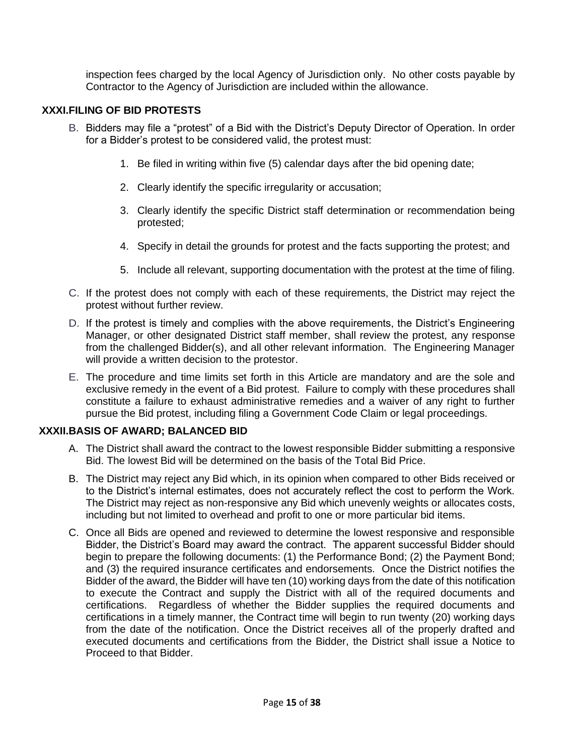inspection fees charged by the local Agency of Jurisdiction only. No other costs payable by Contractor to the Agency of Jurisdiction are included within the allowance.

#### **XXXI.FILING OF BID PROTESTS**

- <span id="page-14-0"></span>B. Bidders may file a "protest" of a Bid with the District's Deputy Director of Operation. In order for a Bidder's protest to be considered valid, the protest must:
	- 1. Be filed in writing within five (5) calendar days after the bid opening date;
	- 2. Clearly identify the specific irregularity or accusation;
	- 3. Clearly identify the specific District staff determination or recommendation being protested;
	- 4. Specify in detail the grounds for protest and the facts supporting the protest; and
	- 5. Include all relevant, supporting documentation with the protest at the time of filing.
- C. If the protest does not comply with each of these requirements, the District may reject the protest without further review.
- D. If the protest is timely and complies with the above requirements, the District's Engineering Manager, or other designated District staff member, shall review the protest, any response from the challenged Bidder(s), and all other relevant information. The Engineering Manager will provide a written decision to the protestor.
- E. The procedure and time limits set forth in this Article are mandatory and are the sole and exclusive remedy in the event of a Bid protest. Failure to comply with these procedures shall constitute a failure to exhaust administrative remedies and a waiver of any right to further pursue the Bid protest, including filing a Government Code Claim or legal proceedings.

#### **XXXII.BASIS OF AWARD; BALANCED BID**

- <span id="page-14-1"></span>A. The District shall award the contract to the lowest responsible Bidder submitting a responsive Bid. The lowest Bid will be determined on the basis of the Total Bid Price.
- B. The District may reject any Bid which, in its opinion when compared to other Bids received or to the District's internal estimates, does not accurately reflect the cost to perform the Work. The District may reject as non-responsive any Bid which unevenly weights or allocates costs, including but not limited to overhead and profit to one or more particular bid items.
- C. Once all Bids are opened and reviewed to determine the lowest responsive and responsible Bidder, the District's Board may award the contract. The apparent successful Bidder should begin to prepare the following documents: (1) the Performance Bond; (2) the Payment Bond; and (3) the required insurance certificates and endorsements. Once the District notifies the Bidder of the award, the Bidder will have ten (10) working days from the date of this notification to execute the Contract and supply the District with all of the required documents and certifications. Regardless of whether the Bidder supplies the required documents and certifications in a timely manner, the Contract time will begin to run twenty (20) working days from the date of the notification. Once the District receives all of the properly drafted and executed documents and certifications from the Bidder, the District shall issue a Notice to Proceed to that Bidder.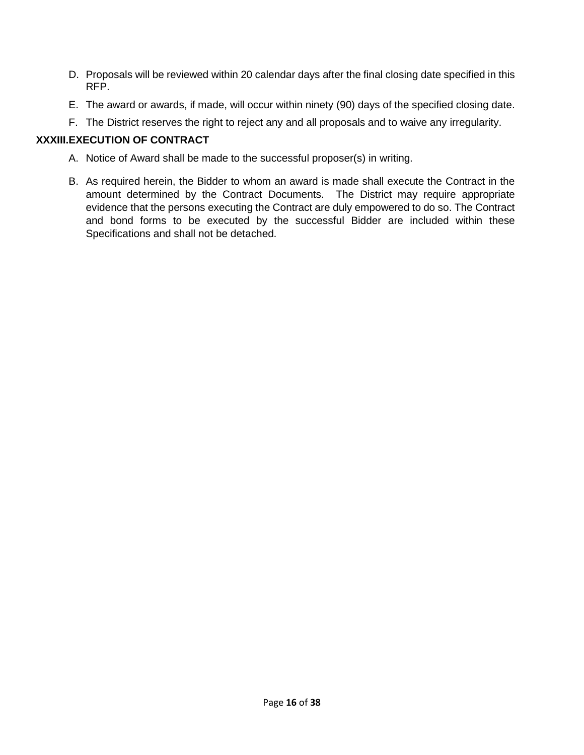- D. Proposals will be reviewed within 20 calendar days after the final closing date specified in this RFP.
- E. The award or awards, if made, will occur within ninety (90) days of the specified closing date.
- F. The District reserves the right to reject any and all proposals and to waive any irregularity.

#### **XXXIII.EXECUTION OF CONTRACT**

- <span id="page-15-0"></span>A. Notice of Award shall be made to the successful proposer(s) in writing.
- B. As required herein, the Bidder to whom an award is made shall execute the Contract in the amount determined by the Contract Documents. The District may require appropriate evidence that the persons executing the Contract are duly empowered to do so. The Contract and bond forms to be executed by the successful Bidder are included within these Specifications and shall not be detached.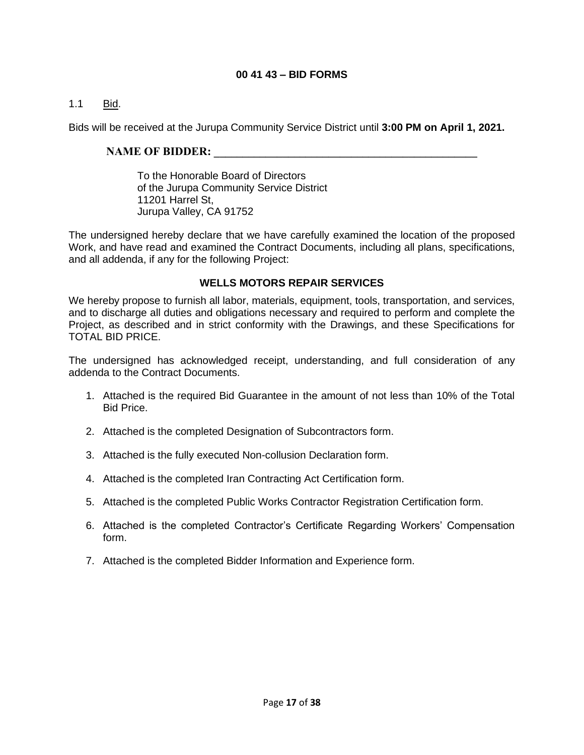#### **00 41 43 – BID FORMS**

#### 1.1 Bid.

Bids will be received at the Jurupa Community Service District until **3:00 PM on April 1, 2021.**

#### NAME OF BIDDER:

To the Honorable Board of Directors of the Jurupa Community Service District 11201 Harrel St, Jurupa Valley, CA 91752

The undersigned hereby declare that we have carefully examined the location of the proposed Work, and have read and examined the Contract Documents, including all plans, specifications, and all addenda, if any for the following Project:

#### **WELLS MOTORS REPAIR SERVICES**

We hereby propose to furnish all labor, materials, equipment, tools, transportation, and services, and to discharge all duties and obligations necessary and required to perform and complete the Project, as described and in strict conformity with the Drawings, and these Specifications for TOTAL BID PRICE.

The undersigned has acknowledged receipt, understanding, and full consideration of any addenda to the Contract Documents.

- 1. Attached is the required Bid Guarantee in the amount of not less than 10% of the Total Bid Price.
- 2. Attached is the completed Designation of Subcontractors form.
- 3. Attached is the fully executed Non-collusion Declaration form.
- 4. Attached is the completed Iran Contracting Act Certification form.
- 5. Attached is the completed Public Works Contractor Registration Certification form.
- 6. Attached is the completed Contractor's Certificate Regarding Workers' Compensation form.
- 7. Attached is the completed Bidder Information and Experience form.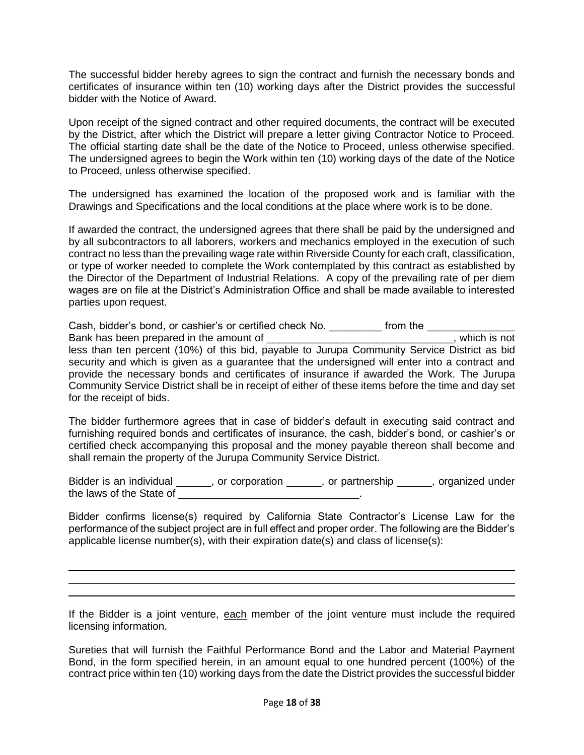The successful bidder hereby agrees to sign the contract and furnish the necessary bonds and certificates of insurance within ten (10) working days after the District provides the successful bidder with the Notice of Award.

Upon receipt of the signed contract and other required documents, the contract will be executed by the District, after which the District will prepare a letter giving Contractor Notice to Proceed. The official starting date shall be the date of the Notice to Proceed, unless otherwise specified. The undersigned agrees to begin the Work within ten (10) working days of the date of the Notice to Proceed, unless otherwise specified.

The undersigned has examined the location of the proposed work and is familiar with the Drawings and Specifications and the local conditions at the place where work is to be done.

If awarded the contract, the undersigned agrees that there shall be paid by the undersigned and by all subcontractors to all laborers, workers and mechanics employed in the execution of such contract no less than the prevailing wage rate within Riverside County for each craft, classification, or type of worker needed to complete the Work contemplated by this contract as established by the Director of the Department of Industrial Relations. A copy of the prevailing rate of per diem wages are on file at the District's Administration Office and shall be made available to interested parties upon request.

Cash, bidder's bond, or cashier's or certified check No. \_\_\_\_\_\_\_\_\_ from the \_\_\_\_\_\_\_\_\_\_\_ Bank has been prepared in the amount of \_\_\_\_\_\_\_\_\_\_\_\_\_\_\_\_\_\_\_\_\_\_\_\_\_\_\_\_\_\_\_\_, which is not less than ten percent (10%) of this bid, payable to Jurupa Community Service District as bid security and which is given as a guarantee that the undersigned will enter into a contract and provide the necessary bonds and certificates of insurance if awarded the Work. The Jurupa Community Service District shall be in receipt of either of these items before the time and day set for the receipt of bids.

The bidder furthermore agrees that in case of bidder's default in executing said contract and furnishing required bonds and certificates of insurance, the cash, bidder's bond, or cashier's or certified check accompanying this proposal and the money payable thereon shall become and shall remain the property of the Jurupa Community Service District.

Bidder is an individual \_\_\_\_\_, or corporation \_\_\_\_\_, or partnership \_\_\_\_, organized under the laws of the State of

Bidder confirms license(s) required by California State Contractor's License Law for the performance of the subject project are in full effect and proper order. The following are the Bidder's applicable license number(s), with their expiration date(s) and class of license(s):

If the Bidder is a joint venture, each member of the joint venture must include the required licensing information.

Sureties that will furnish the Faithful Performance Bond and the Labor and Material Payment Bond, in the form specified herein, in an amount equal to one hundred percent (100%) of the contract price within ten (10) working days from the date the District provides the successful bidder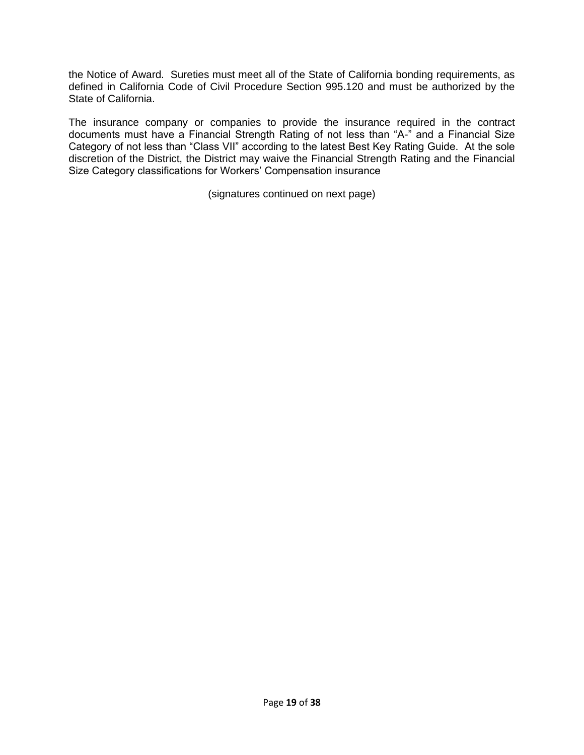the Notice of Award. Sureties must meet all of the State of California bonding requirements, as defined in California Code of Civil Procedure Section 995.120 and must be authorized by the State of California.

The insurance company or companies to provide the insurance required in the contract documents must have a Financial Strength Rating of not less than "A-" and a Financial Size Category of not less than "Class VII" according to the latest Best Key Rating Guide. At the sole discretion of the District, the District may waive the Financial Strength Rating and the Financial Size Category classifications for Workers' Compensation insurance

(signatures continued on next page)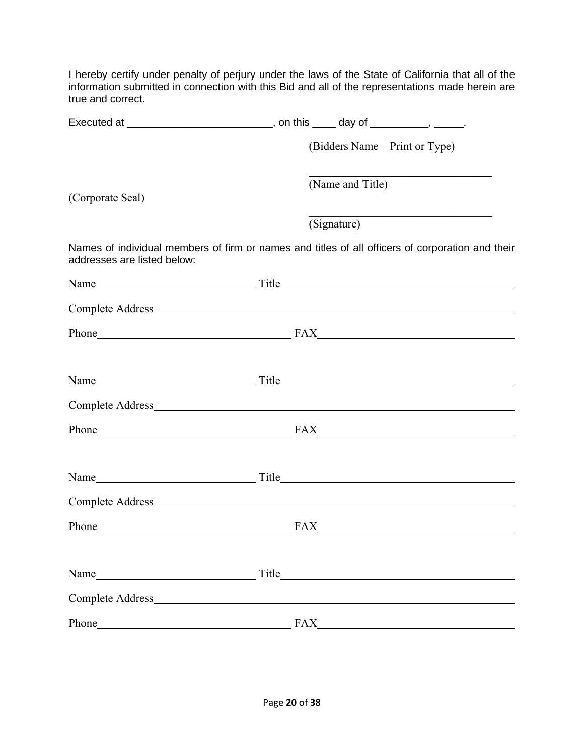I hereby certify under penalty of perjury under the laws of the State of California that all of the information submitted in connection with this Bid and all of the representations made herein are true and correct.

| Executed at ______________________________, on this _____ day of ___________, ______.                                           |  |                                |
|---------------------------------------------------------------------------------------------------------------------------------|--|--------------------------------|
|                                                                                                                                 |  | (Bidders Name – Print or Type) |
| (Corporate Seal)                                                                                                                |  | (Name and Title)               |
|                                                                                                                                 |  | (s <sub>ignature</sub> )       |
| Names of individual members of firm or names and titles of all officers of corporation and their<br>addresses are listed below: |  |                                |
|                                                                                                                                 |  |                                |
|                                                                                                                                 |  |                                |
| Phone FAX FAX                                                                                                                   |  |                                |
|                                                                                                                                 |  |                                |
|                                                                                                                                 |  |                                |
|                                                                                                                                 |  |                                |
| Phone FAX FAX                                                                                                                   |  |                                |
|                                                                                                                                 |  |                                |
|                                                                                                                                 |  |                                |
|                                                                                                                                 |  |                                |
| Phone FAX FAX                                                                                                                   |  |                                |
|                                                                                                                                 |  |                                |
|                                                                                                                                 |  |                                |
|                                                                                                                                 |  |                                |
|                                                                                                                                 |  |                                |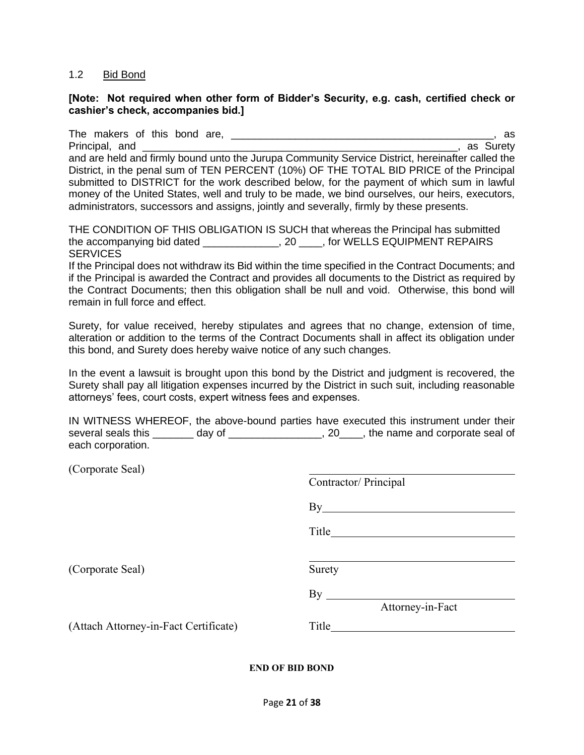#### 1.2 Bid Bond

#### **[Note: Not required when other form of Bidder's Security, e.g. cash, certified check or cashier's check, accompanies bid.]**

The makers of this bond are, \_\_\_\_\_\_\_\_\_\_\_\_\_\_\_\_\_\_\_\_\_\_\_\_\_\_\_\_\_\_\_\_\_\_\_\_\_\_\_\_\_\_\_\_\_, as Principal, and \_\_\_\_\_\_\_\_\_\_\_\_\_\_\_\_\_\_\_\_\_\_\_\_\_\_\_\_\_\_\_\_\_\_\_\_\_\_\_\_\_\_\_\_\_\_\_\_\_\_\_\_\_\_, as Surety and are held and firmly bound unto the Jurupa Community Service District, hereinafter called the District, in the penal sum of TEN PERCENT (10%) OF THE TOTAL BID PRICE of the Principal submitted to DISTRICT for the work described below, for the payment of which sum in lawful money of the United States, well and truly to be made, we bind ourselves, our heirs, executors, administrators, successors and assigns, jointly and severally, firmly by these presents.

THE CONDITION OF THIS OBLIGATION IS SUCH that whereas the Principal has submitted the accompanying bid dated \_\_\_\_\_\_\_\_\_\_\_\_\_, 20 \_\_\_\_, for WELLS EQUIPMENT REPAIRS **SERVICES** 

If the Principal does not withdraw its Bid within the time specified in the Contract Documents; and if the Principal is awarded the Contract and provides all documents to the District as required by the Contract Documents; then this obligation shall be null and void. Otherwise, this bond will remain in full force and effect.

Surety, for value received, hereby stipulates and agrees that no change, extension of time, alteration or addition to the terms of the Contract Documents shall in affect its obligation under this bond, and Surety does hereby waive notice of any such changes.

In the event a lawsuit is brought upon this bond by the District and judgment is recovered, the Surety shall pay all litigation expenses incurred by the District in such suit, including reasonable attorneys' fees, court costs, expert witness fees and expenses.

IN WITNESS WHEREOF, the above-bound parties have executed this instrument under their several seals this \_\_\_\_\_\_\_ day of \_\_\_\_\_\_\_\_\_\_\_\_\_\_\_\_\_, 20\_\_\_\_, the name and corporate seal of each corporation.

(Corporate Seal) Contractor/ Principal By Title **The Community of the Community** of the Community of the Community of the Community of the Community of the Community of the Community of the Community of the Community of the Community of the Community of the Commun (Corporate Seal) Surety By Attorney-in-Fact (Attach Attorney-in-Fact Certificate) Title

**END OF BID BOND**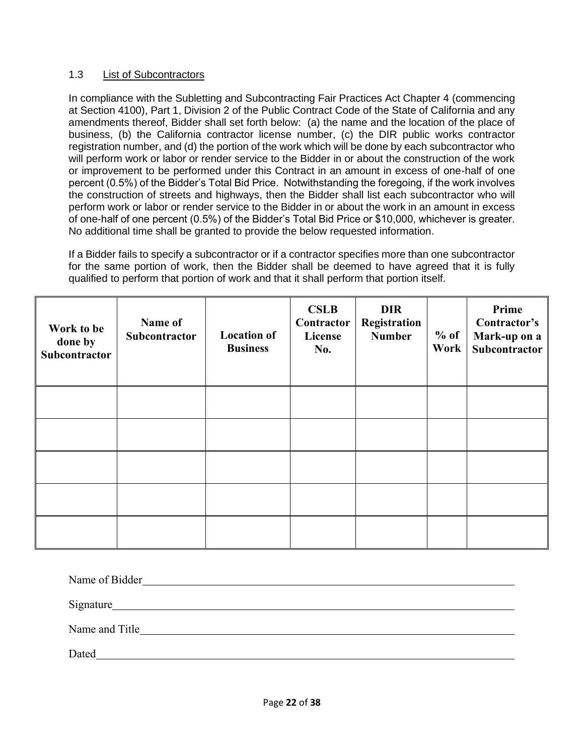#### 1.3 List of Subcontractors

In compliance with the Subletting and Subcontracting Fair Practices Act Chapter 4 (commencing at Section 4100), Part 1, Division 2 of the Public Contract Code of the State of California and any amendments thereof, Bidder shall set forth below: (a) the name and the location of the place of business, (b) the California contractor license number, (c) the DIR public works contractor registration number, and (d) the portion of the work which will be done by each subcontractor who will perform work or labor or render service to the Bidder in or about the construction of the work or improvement to be performed under this Contract in an amount in excess of one-half of one percent (0.5%) of the Bidder's Total Bid Price. Notwithstanding the foregoing, if the work involves the construction of streets and highways, then the Bidder shall list each subcontractor who will perform work or labor or render service to the Bidder in or about the work in an amount in excess of one-half of one percent (0.5%) of the Bidder's Total Bid Price or \$10,000, whichever is greater. No additional time shall be granted to provide the below requested information.

If a Bidder fails to specify a subcontractor or if a contractor specifies more than one subcontractor for the same portion of work, then the Bidder shall be deemed to have agreed that it is fully qualified to perform that portion of work and that it shall perform that portion itself.

| Work to be<br>done by<br>Subcontractor | Name of<br>Subcontractor | <b>Location of</b><br><b>Business</b> | <b>CSLB</b><br>Contractor<br>License<br>No. | <b>DIR</b><br>Registration<br><b>Number</b> | $%$ of<br>Work | Prime<br>Contractor's<br>Mark-up on a<br>Subcontractor |
|----------------------------------------|--------------------------|---------------------------------------|---------------------------------------------|---------------------------------------------|----------------|--------------------------------------------------------|
|                                        |                          |                                       |                                             |                                             |                |                                                        |
|                                        |                          |                                       |                                             |                                             |                |                                                        |
|                                        |                          |                                       |                                             |                                             |                |                                                        |
|                                        |                          |                                       |                                             |                                             |                |                                                        |
|                                        |                          |                                       |                                             |                                             |                |                                                        |

| Name of Bidder |
|----------------|
|                |
| Name and Title |
| Dated          |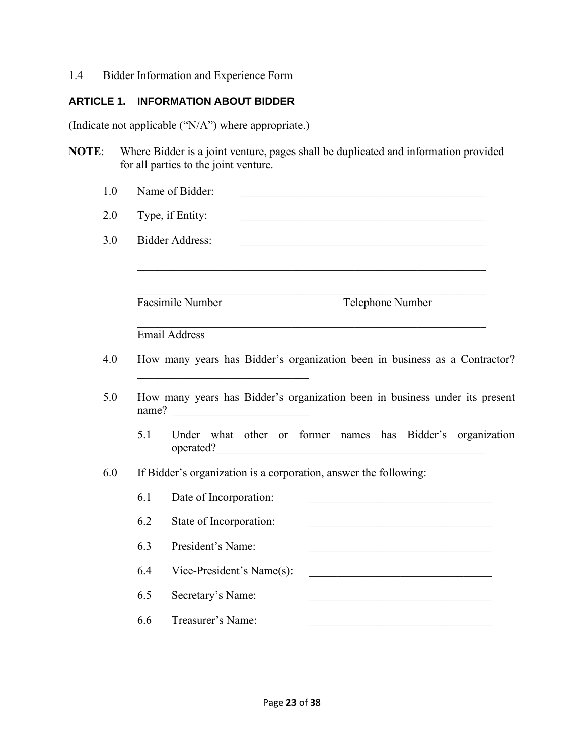### 1.4 Bidder Information and Experience Form

### **ARTICLE 1. INFORMATION ABOUT BIDDER**

(Indicate not applicable ("N/A") where appropriate.)

**NOTE**: Where Bidder is a joint venture, pages shall be duplicated and information provided for all parties to the joint venture.

|     | Name of Bidder:                                                                      |  |                                                                                                                      |  |
|-----|--------------------------------------------------------------------------------------|--|----------------------------------------------------------------------------------------------------------------------|--|
|     | Type, if Entity:                                                                     |  |                                                                                                                      |  |
|     | <b>Bidder Address:</b>                                                               |  | <u> 1989 - Andrea Stadt, amerikansk politiker (d. 1989)</u>                                                          |  |
|     | Facsimile Number                                                                     |  | Telephone Number                                                                                                     |  |
|     | <b>Email Address</b>                                                                 |  |                                                                                                                      |  |
|     | How many years has Bidder's organization been in business as a Contractor?           |  |                                                                                                                      |  |
|     | How many years has Bidder's organization been in business under its present<br>name? |  |                                                                                                                      |  |
| 5.1 |                                                                                      |  | Under what other or former names has Bidder's organization<br>operated?                                              |  |
|     | If Bidder's organization is a corporation, answer the following:                     |  |                                                                                                                      |  |
| 6.1 | Date of Incorporation:                                                               |  |                                                                                                                      |  |
| 6.2 | State of Incorporation:                                                              |  |                                                                                                                      |  |
| 6.3 | President's Name:                                                                    |  |                                                                                                                      |  |
| 6.4 | Vice-President's Name(s):                                                            |  | <u> 1989 - Johann Stein, marwolaethau a bhann an t-Amhair an t-Amhair an t-Amhair an t-Amhair an t-Amhair an t-A</u> |  |
| 6.5 | Secretary's Name:                                                                    |  |                                                                                                                      |  |
| 6.6 | Treasurer's Name:                                                                    |  |                                                                                                                      |  |
|     |                                                                                      |  |                                                                                                                      |  |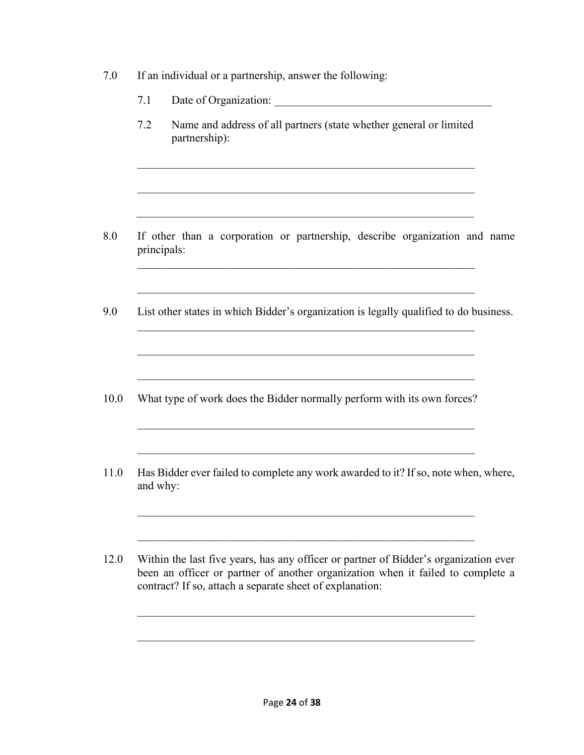| 7.0  |             | If an individual or a partnership, answer the following:                                                                                                                                                                            |  |  |  |  |  |  |
|------|-------------|-------------------------------------------------------------------------------------------------------------------------------------------------------------------------------------------------------------------------------------|--|--|--|--|--|--|
|      | 7.1         |                                                                                                                                                                                                                                     |  |  |  |  |  |  |
|      | 7.2         | Name and address of all partners (state whether general or limited<br>partnership):                                                                                                                                                 |  |  |  |  |  |  |
|      |             |                                                                                                                                                                                                                                     |  |  |  |  |  |  |
| 8.0  | principals: | If other than a corporation or partnership, describe organization and name                                                                                                                                                          |  |  |  |  |  |  |
| 9.0  |             | List other states in which Bidder's organization is legally qualified to do business.                                                                                                                                               |  |  |  |  |  |  |
| 10.0 |             | What type of work does the Bidder normally perform with its own forces?                                                                                                                                                             |  |  |  |  |  |  |
| 11.0 | and why:    | Has Bidder ever failed to complete any work awarded to it? If so, note when, where,                                                                                                                                                 |  |  |  |  |  |  |
| 12.0 |             | Within the last five years, has any officer or partner of Bidder's organization ever<br>been an officer or partner of another organization when it failed to complete a<br>contract? If so, attach a separate sheet of explanation: |  |  |  |  |  |  |

 $\mathcal{L}_\text{max} = \mathcal{L}_\text{max} = \mathcal{L}_\text{max} = \mathcal{L}_\text{max} = \mathcal{L}_\text{max} = \mathcal{L}_\text{max} = \mathcal{L}_\text{max} = \mathcal{L}_\text{max} = \mathcal{L}_\text{max} = \mathcal{L}_\text{max} = \mathcal{L}_\text{max} = \mathcal{L}_\text{max} = \mathcal{L}_\text{max} = \mathcal{L}_\text{max} = \mathcal{L}_\text{max} = \mathcal{L}_\text{max} = \mathcal{L}_\text{max} = \mathcal{L}_\text{max} = \mathcal{$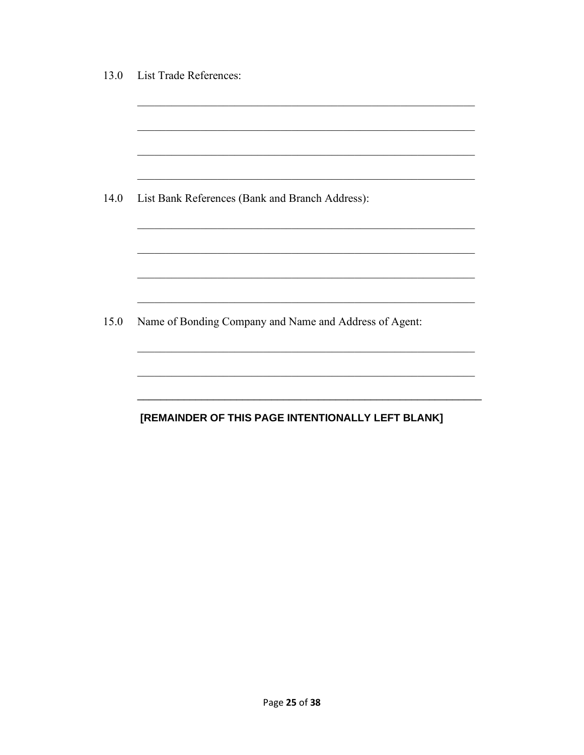| List Trade References:                                 |
|--------------------------------------------------------|
|                                                        |
|                                                        |
|                                                        |
|                                                        |
| List Bank References (Bank and Branch Address):        |
|                                                        |
|                                                        |
|                                                        |
|                                                        |
| Name of Bonding Company and Name and Address of Agent: |
|                                                        |
|                                                        |
|                                                        |
|                                                        |
|                                                        |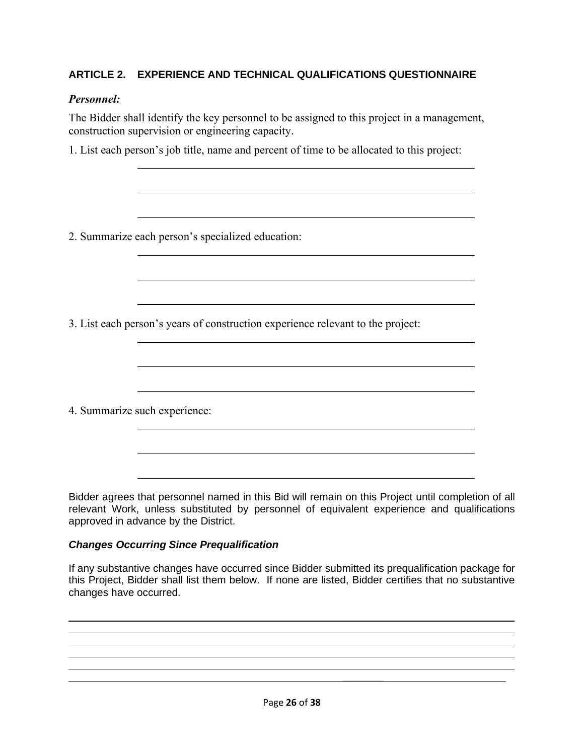#### **ARTICLE 2. EXPERIENCE AND TECHNICAL QUALIFICATIONS QUESTIONNAIRE**

#### *Personnel:*

The Bidder shall identify the key personnel to be assigned to this project in a management, construction supervision or engineering capacity.

<u> 1989 - Johann Barbara, martin amerikan basar dan berasal dan berasal dalam basar dalam basar dalam basar dala</u>

1. List each person's job title, name and percent of time to be allocated to this project:

2. Summarize each person's specialized education:

3. List each person's years of construction experience relevant to the project:

4. Summarize such experience:  $\overline{a}$ 

 $\overline{a}$ 

 $\overline{a}$ 

 $\overline{a}$  $\overline{a}$  $\overline{a}$   $\overline{a}$ 

 $\overline{a}$ 

 $\overline{a}$ 

 $\overline{a}$ 

 $\overline{a}$ 

Bidder agrees that personnel named in this Bid will remain on this Project until completion of all relevant Work, unless substituted by personnel of equivalent experience and qualifications approved in advance by the District.

#### *Changes Occurring Since Prequalification*

If any substantive changes have occurred since Bidder submitted its prequalification package for this Project, Bidder shall list them below. If none are listed, Bidder certifies that no substantive changes have occurred.

 $\mathcal{L}_\text{max}$  and  $\mathcal{L}_\text{max}$  are the set of the set of the set of the set of the set of the set of the set of the set of the set of the set of the set of the set of the set of the set of the set of the set of the set o

 $\overline{a}$  $\overline{a}$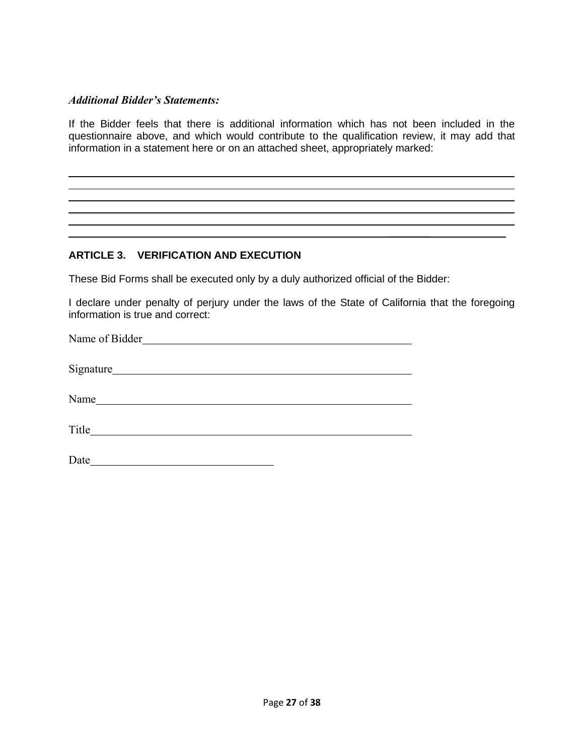#### *Additional Bidder's Statements:*

 $\overline{a}$  $\overline{a}$  $\overline{a}$  $\overline{a}$  $\overline{a}$ 

If the Bidder feels that there is additional information which has not been included in the questionnaire above, and which would contribute to the qualification review, it may add that information in a statement here or on an attached sheet, appropriately marked:

#### **ARTICLE 3. VERIFICATION AND EXECUTION**

These Bid Forms shall be executed only by a duly authorized official of the Bidder:

I declare under penalty of perjury under the laws of the State of California that the foregoing information is true and correct:

\_\_\_\_\_\_\_

| Name of Bidder |
|----------------|
| Signature      |
| Name           |
| Title          |
|                |

| Date<br>$\cdots$ |  |  |  |
|------------------|--|--|--|
|                  |  |  |  |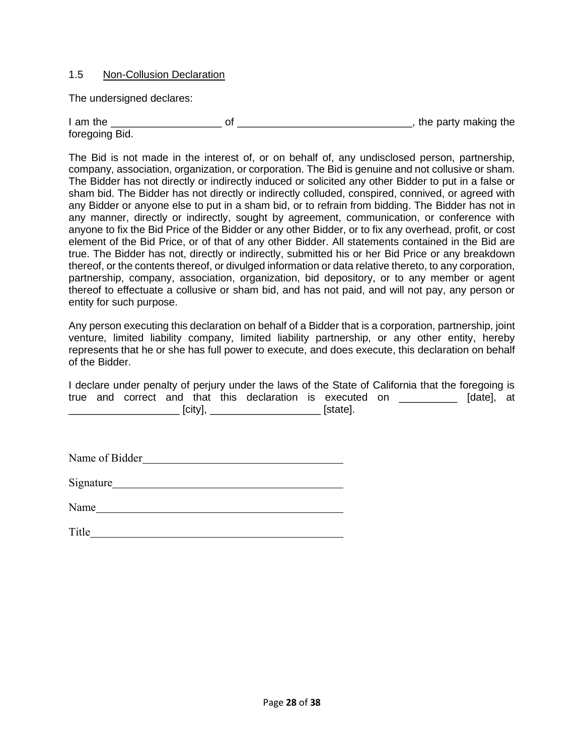#### 1.5 Non-Collusion Declaration

The undersigned declares:

| I am the       | the party making the |
|----------------|----------------------|
| foregoing Bid. |                      |

The Bid is not made in the interest of, or on behalf of, any undisclosed person, partnership, company, association, organization, or corporation. The Bid is genuine and not collusive or sham. The Bidder has not directly or indirectly induced or solicited any other Bidder to put in a false or sham bid. The Bidder has not directly or indirectly colluded, conspired, connived, or agreed with any Bidder or anyone else to put in a sham bid, or to refrain from bidding. The Bidder has not in any manner, directly or indirectly, sought by agreement, communication, or conference with anyone to fix the Bid Price of the Bidder or any other Bidder, or to fix any overhead, profit, or cost element of the Bid Price, or of that of any other Bidder. All statements contained in the Bid are true. The Bidder has not, directly or indirectly, submitted his or her Bid Price or any breakdown thereof, or the contents thereof, or divulged information or data relative thereto, to any corporation, partnership, company, association, organization, bid depository, or to any member or agent thereof to effectuate a collusive or sham bid, and has not paid, and will not pay, any person or entity for such purpose.

Any person executing this declaration on behalf of a Bidder that is a corporation, partnership, joint venture, limited liability company, limited liability partnership, or any other entity, hereby represents that he or she has full power to execute, and does execute, this declaration on behalf of the Bidder.

I declare under penalty of perjury under the laws of the State of California that the foregoing is true and correct and that this declaration is executed on \_\_\_\_\_\_\_\_\_\_ [date], at \_\_\_\_\_\_\_\_\_\_\_\_\_\_\_\_\_\_\_ [city], \_\_\_\_\_\_\_\_\_\_\_\_\_\_\_\_\_\_\_ [state].

Name of Bidder

Signature

| N<br>Name |  |  |
|-----------|--|--|
|           |  |  |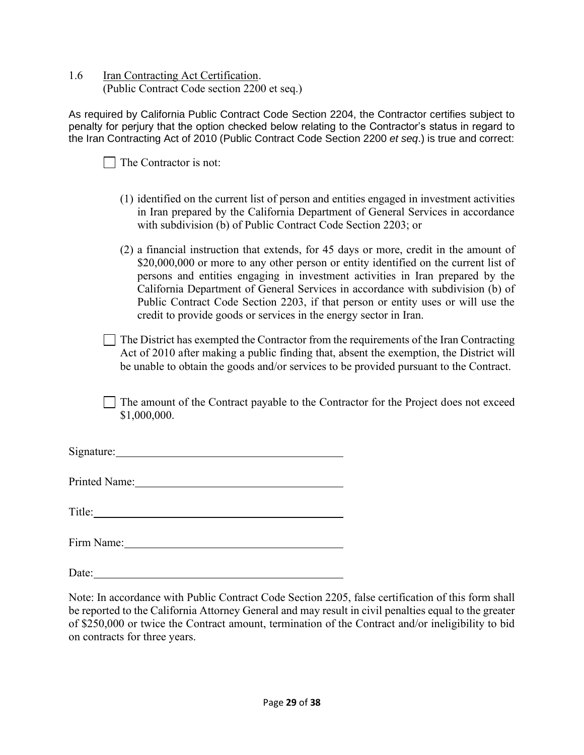1.6 Iran Contracting Act Certification. (Public Contract Code section 2200 et seq.)

As required by California Public Contract Code Section 2204, the Contractor certifies subject to penalty for perjury that the option checked below relating to the Contractor's status in regard to the Iran Contracting Act of 2010 (Public Contract Code Section 2200 *et seq*.) is true and correct:

The Contractor is not:

- (1) identified on the current list of person and entities engaged in investment activities in Iran prepared by the California Department of General Services in accordance with subdivision (b) of Public Contract Code Section 2203; or
- (2) a financial instruction that extends, for 45 days or more, credit in the amount of \$20,000,000 or more to any other person or entity identified on the current list of persons and entities engaging in investment activities in Iran prepared by the California Department of General Services in accordance with subdivision (b) of Public Contract Code Section 2203, if that person or entity uses or will use the credit to provide goods or services in the energy sector in Iran.
- The District has exempted the Contractor from the requirements of the Iran Contracting Act of 2010 after making a public finding that, absent the exemption, the District will be unable to obtain the goods and/or services to be provided pursuant to the Contract.
- The amount of the Contract payable to the Contractor for the Project does not exceed \$1,000,000.

Signature:

Printed Name:

Title:

Firm Name:

Date:

Note: In accordance with Public Contract Code Section 2205, false certification of this form shall be reported to the California Attorney General and may result in civil penalties equal to the greater of \$250,000 or twice the Contract amount, termination of the Contract and/or ineligibility to bid on contracts for three years.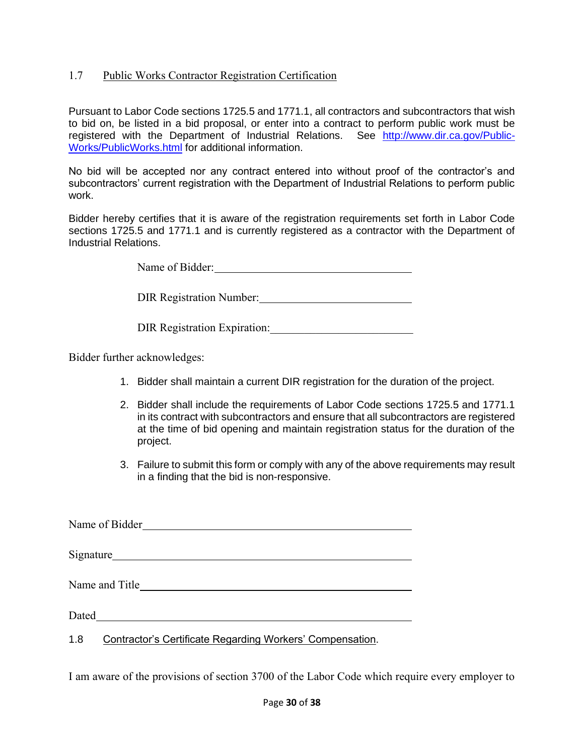#### 1.7 Public Works Contractor Registration Certification

Pursuant to Labor Code sections 1725.5 and 1771.1, all contractors and subcontractors that wish to bid on, be listed in a bid proposal, or enter into a contract to perform public work must be registered with the Department of Industrial Relations. See http://www.dir.ca.gov/Public-Works/PublicWorks.html for additional information.

No bid will be accepted nor any contract entered into without proof of the contractor's and subcontractors' current registration with the Department of Industrial Relations to perform public work.

Bidder hereby certifies that it is aware of the registration requirements set forth in Labor Code sections 1725.5 and 1771.1 and is currently registered as a contractor with the Department of Industrial Relations.

Name of Bidder:

DIR Registration Number:

DIR Registration Expiration:\_\_\_\_\_\_\_\_\_\_\_\_\_\_\_\_\_\_\_\_\_\_\_\_\_

Bidder further acknowledges:

- 1. Bidder shall maintain a current DIR registration for the duration of the project.
- 2. Bidder shall include the requirements of Labor Code sections 1725.5 and 1771.1 in its contract with subcontractors and ensure that all subcontractors are registered at the time of bid opening and maintain registration status for the duration of the project.
- 3. Failure to submit this form or comply with any of the above requirements may result in a finding that the bid is non-responsive.

|                | Name of Bidder                                            |  |  |  |
|----------------|-----------------------------------------------------------|--|--|--|
|                |                                                           |  |  |  |
|                |                                                           |  |  |  |
|                |                                                           |  |  |  |
| Name and Title |                                                           |  |  |  |
|                |                                                           |  |  |  |
| Dated          |                                                           |  |  |  |
|                |                                                           |  |  |  |
| 1.8            | Contractor's Certificate Regarding Workers' Compensation. |  |  |  |

I am aware of the provisions of section 3700 of the Labor Code which require every employer to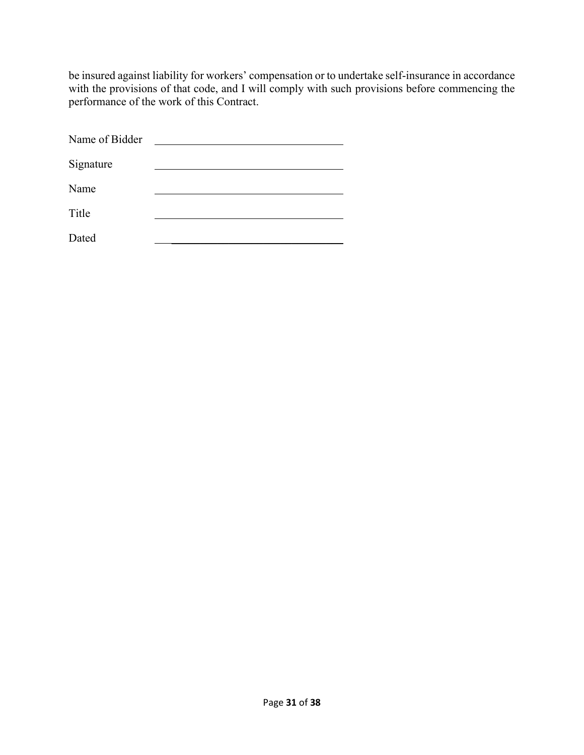be insured against liability for workers' compensation or to undertake self-insurance in accordance with the provisions of that code, and I will comply with such provisions before commencing the performance of the work of this Contract.

| Name of Bidder |  |
|----------------|--|
| Signature      |  |
| Name           |  |
| Title          |  |
| Dated          |  |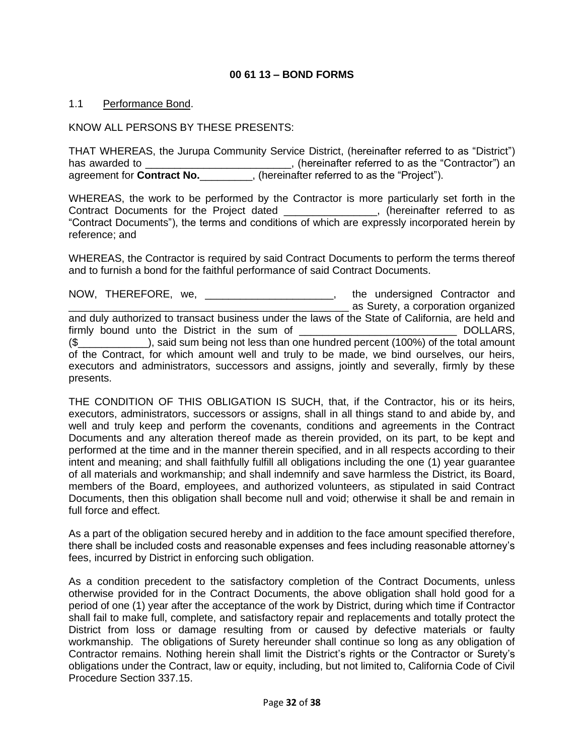#### **00 61 13 – BOND FORMS**

#### 1.1 Performance Bond.

#### KNOW ALL PERSONS BY THESE PRESENTS:

THAT WHEREAS, the Jurupa Community Service District, (hereinafter referred to as "District") has awarded to \_\_\_\_\_\_\_\_\_\_\_\_\_\_\_\_\_\_\_\_\_\_\_, (hereinafter referred to as the "Contractor") an agreement for **Contract No.** \_\_\_\_\_\_\_, (hereinafter referred to as the "Project").

WHEREAS, the work to be performed by the Contractor is more particularly set forth in the Contract Documents for the Project dated \_\_\_\_\_\_\_\_\_\_\_\_\_\_\_, (hereinafter referred to as "Contract Documents"), the terms and conditions of which are expressly incorporated herein by reference; and

WHEREAS, the Contractor is required by said Contract Documents to perform the terms thereof and to furnish a bond for the faithful performance of said Contract Documents.

NOW, THEREFORE, we, \_\_\_\_\_\_\_\_\_\_\_\_\_\_\_\_\_\_\_\_\_\_, the undersigned Contractor and \_\_\_\_\_\_\_\_\_\_\_\_\_\_\_\_\_\_\_\_\_\_\_\_\_\_\_\_\_\_\_\_\_\_\_\_\_\_\_\_\_\_\_\_\_\_\_\_ as Surety, a corporation organized and duly authorized to transact business under the laws of the State of California, are held and firmly bound unto the District in the sum of The Contract of The Dollard DOLLARS, (\$\_\_\_\_\_\_\_\_\_\_\_\_), said sum being not less than one hundred percent (100%) of the total amount of the Contract, for which amount well and truly to be made, we bind ourselves, our heirs, executors and administrators, successors and assigns, jointly and severally, firmly by these presents.

THE CONDITION OF THIS OBLIGATION IS SUCH, that, if the Contractor, his or its heirs, executors, administrators, successors or assigns, shall in all things stand to and abide by, and well and truly keep and perform the covenants, conditions and agreements in the Contract Documents and any alteration thereof made as therein provided, on its part, to be kept and performed at the time and in the manner therein specified, and in all respects according to their intent and meaning; and shall faithfully fulfill all obligations including the one (1) year guarantee of all materials and workmanship; and shall indemnify and save harmless the District, its Board, members of the Board, employees, and authorized volunteers, as stipulated in said Contract Documents, then this obligation shall become null and void; otherwise it shall be and remain in full force and effect.

As a part of the obligation secured hereby and in addition to the face amount specified therefore, there shall be included costs and reasonable expenses and fees including reasonable attorney's fees, incurred by District in enforcing such obligation.

As a condition precedent to the satisfactory completion of the Contract Documents, unless otherwise provided for in the Contract Documents, the above obligation shall hold good for a period of one (1) year after the acceptance of the work by District, during which time if Contractor shall fail to make full, complete, and satisfactory repair and replacements and totally protect the District from loss or damage resulting from or caused by defective materials or faulty workmanship. The obligations of Surety hereunder shall continue so long as any obligation of Contractor remains. Nothing herein shall limit the District's rights or the Contractor or Surety's obligations under the Contract, law or equity, including, but not limited to, California Code of Civil Procedure Section 337.15.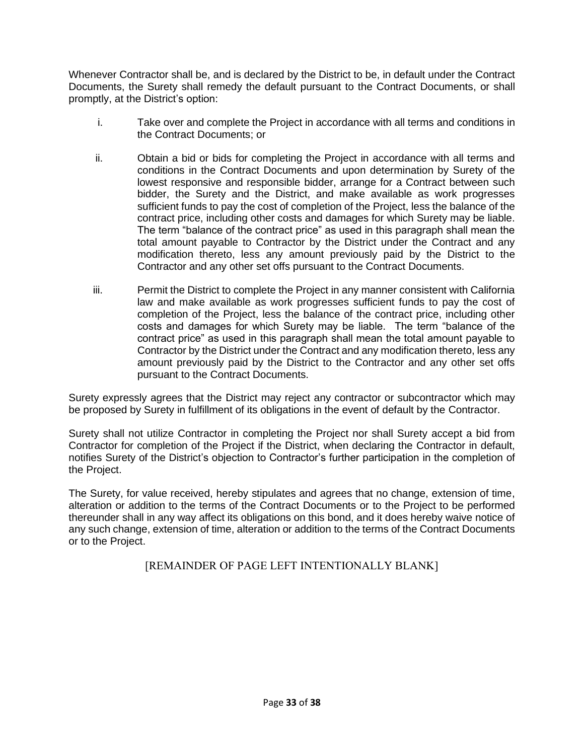Whenever Contractor shall be, and is declared by the District to be, in default under the Contract Documents, the Surety shall remedy the default pursuant to the Contract Documents, or shall promptly, at the District's option:

- i. Take over and complete the Project in accordance with all terms and conditions in the Contract Documents; or
- ii. Obtain a bid or bids for completing the Project in accordance with all terms and conditions in the Contract Documents and upon determination by Surety of the lowest responsive and responsible bidder, arrange for a Contract between such bidder, the Surety and the District, and make available as work progresses sufficient funds to pay the cost of completion of the Project, less the balance of the contract price, including other costs and damages for which Surety may be liable. The term "balance of the contract price" as used in this paragraph shall mean the total amount payable to Contractor by the District under the Contract and any modification thereto, less any amount previously paid by the District to the Contractor and any other set offs pursuant to the Contract Documents.
- iii. Permit the District to complete the Project in any manner consistent with California law and make available as work progresses sufficient funds to pay the cost of completion of the Project, less the balance of the contract price, including other costs and damages for which Surety may be liable. The term "balance of the contract price" as used in this paragraph shall mean the total amount payable to Contractor by the District under the Contract and any modification thereto, less any amount previously paid by the District to the Contractor and any other set offs pursuant to the Contract Documents.

Surety expressly agrees that the District may reject any contractor or subcontractor which may be proposed by Surety in fulfillment of its obligations in the event of default by the Contractor.

Surety shall not utilize Contractor in completing the Project nor shall Surety accept a bid from Contractor for completion of the Project if the District, when declaring the Contractor in default, notifies Surety of the District's objection to Contractor's further participation in the completion of the Project.

The Surety, for value received, hereby stipulates and agrees that no change, extension of time, alteration or addition to the terms of the Contract Documents or to the Project to be performed thereunder shall in any way affect its obligations on this bond, and it does hereby waive notice of any such change, extension of time, alteration or addition to the terms of the Contract Documents or to the Project.

[REMAINDER OF PAGE LEFT INTENTIONALLY BLANK]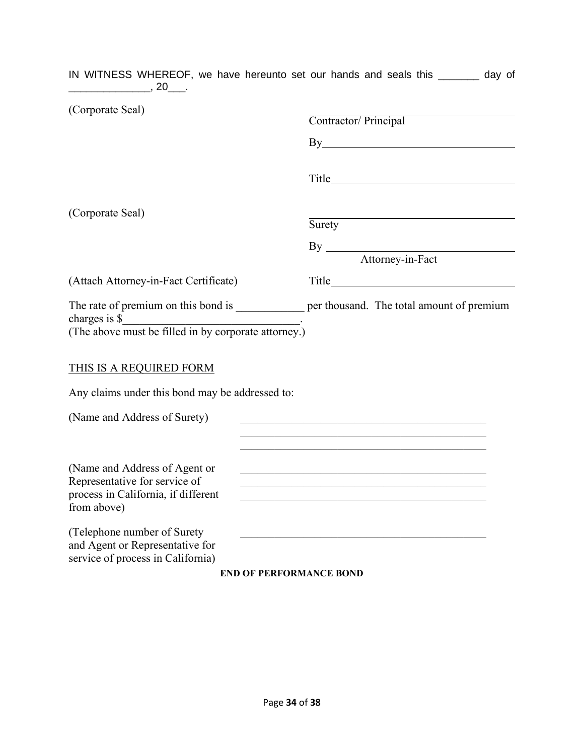|                                                                                                                      | IN WITNESS WHEREOF, we have hereunto set our hands and seals this _______ day of                                                                                                                                                                                        |
|----------------------------------------------------------------------------------------------------------------------|-------------------------------------------------------------------------------------------------------------------------------------------------------------------------------------------------------------------------------------------------------------------------|
| (Corporate Seal)                                                                                                     | Contractor/Principal                                                                                                                                                                                                                                                    |
|                                                                                                                      | By                                                                                                                                                                                                                                                                      |
|                                                                                                                      |                                                                                                                                                                                                                                                                         |
| (Corporate Seal)                                                                                                     | Surety                                                                                                                                                                                                                                                                  |
|                                                                                                                      |                                                                                                                                                                                                                                                                         |
| (Attach Attorney-in-Fact Certificate)                                                                                |                                                                                                                                                                                                                                                                         |
| charges is \$<br>charges is \$<br>(The above must be filled in by corporate attorney.)                               | The rate of premium on this bond is __________________ per thousand. The total amount of premium                                                                                                                                                                        |
| THIS IS A REQUIRED FORM                                                                                              |                                                                                                                                                                                                                                                                         |
| Any claims under this bond may be addressed to:                                                                      |                                                                                                                                                                                                                                                                         |
| (Name and Address of Surety)                                                                                         | <u> 1989 - Johann Barbara, margaret eta industrial eta industrial eta industrial eta industrial eta industrial e</u>                                                                                                                                                    |
| (Name and Address of Agent or<br>Representative for service of<br>process in California, if different<br>from above) | <u> 1989 - Johann John Barn, mars an deus an deus Amerikaansk kommunister (</u><br><u> 1989 - Johann John Barn, mars ann an t-Amhair an t-Amhair an t-Amhair an t-Amhair an t-Amhair an t-Amhair an </u><br><u> 1989 - Johann Stoff, amerikansk politiker (d. 1989)</u> |
| (Telephone number of Surety<br>and Agent or Representative for<br>service of process in California)                  |                                                                                                                                                                                                                                                                         |

#### **END OF PERFORMANCE BOND**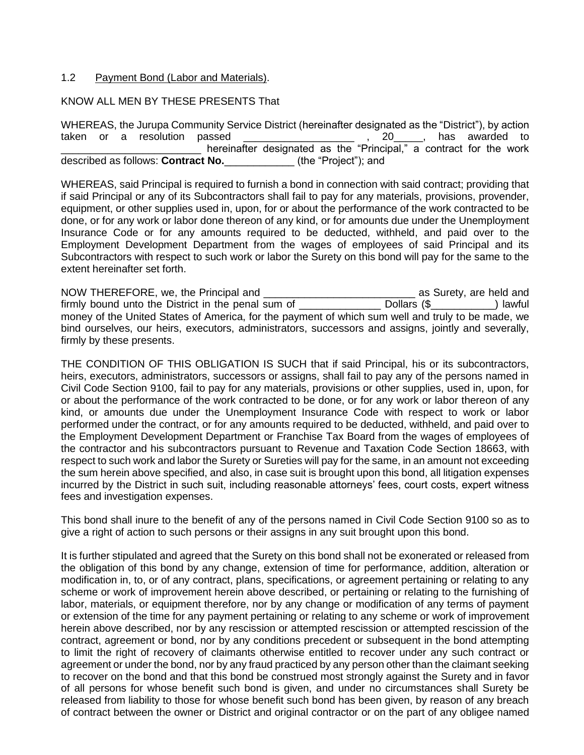#### 1.2 Payment Bond (Labor and Materials).

#### KNOW ALL MEN BY THESE PRESENTS That

WHEREAS, the Jurupa Community Service District (hereinafter designated as the "District"), by action taken or a resolution passed \_\_\_\_\_\_\_\_\_\_\_\_\_\_\_\_\_\_\_ , 20\_\_\_\_\_, has awarded to hereinafter designated as the "Principal," a contract for the work described as follows: **Contract No.** (the "Project"); and

WHEREAS, said Principal is required to furnish a bond in connection with said contract; providing that if said Principal or any of its Subcontractors shall fail to pay for any materials, provisions, provender, equipment, or other supplies used in, upon, for or about the performance of the work contracted to be done, or for any work or labor done thereon of any kind, or for amounts due under the Unemployment Insurance Code or for any amounts required to be deducted, withheld, and paid over to the Employment Development Department from the wages of employees of said Principal and its Subcontractors with respect to such work or labor the Surety on this bond will pay for the same to the extent hereinafter set forth.

NOW THEREFORE, we, the Principal and \_\_\_\_\_\_\_\_\_\_\_\_\_\_\_\_\_\_\_\_\_\_\_\_\_\_ as Surety, are held and firmly bound unto the District in the penal sum of The Dollars (\$ and Dollars (\$ and ) lawful money of the United States of America, for the payment of which sum well and truly to be made, we bind ourselves, our heirs, executors, administrators, successors and assigns, jointly and severally, firmly by these presents.

THE CONDITION OF THIS OBLIGATION IS SUCH that if said Principal, his or its subcontractors, heirs, executors, administrators, successors or assigns, shall fail to pay any of the persons named in Civil Code Section 9100, fail to pay for any materials, provisions or other supplies, used in, upon, for or about the performance of the work contracted to be done, or for any work or labor thereon of any kind, or amounts due under the Unemployment Insurance Code with respect to work or labor performed under the contract, or for any amounts required to be deducted, withheld, and paid over to the Employment Development Department or Franchise Tax Board from the wages of employees of the contractor and his subcontractors pursuant to Revenue and Taxation Code Section 18663, with respect to such work and labor the Surety or Sureties will pay for the same, in an amount not exceeding the sum herein above specified, and also, in case suit is brought upon this bond, all litigation expenses incurred by the District in such suit, including reasonable attorneys' fees, court costs, expert witness fees and investigation expenses.

This bond shall inure to the benefit of any of the persons named in Civil Code Section 9100 so as to give a right of action to such persons or their assigns in any suit brought upon this bond.

It is further stipulated and agreed that the Surety on this bond shall not be exonerated or released from the obligation of this bond by any change, extension of time for performance, addition, alteration or modification in, to, or of any contract, plans, specifications, or agreement pertaining or relating to any scheme or work of improvement herein above described, or pertaining or relating to the furnishing of labor, materials, or equipment therefore, nor by any change or modification of any terms of payment or extension of the time for any payment pertaining or relating to any scheme or work of improvement herein above described, nor by any rescission or attempted rescission or attempted rescission of the contract, agreement or bond, nor by any conditions precedent or subsequent in the bond attempting to limit the right of recovery of claimants otherwise entitled to recover under any such contract or agreement or under the bond, nor by any fraud practiced by any person other than the claimant seeking to recover on the bond and that this bond be construed most strongly against the Surety and in favor of all persons for whose benefit such bond is given, and under no circumstances shall Surety be released from liability to those for whose benefit such bond has been given, by reason of any breach of contract between the owner or District and original contractor or on the part of any obligee named